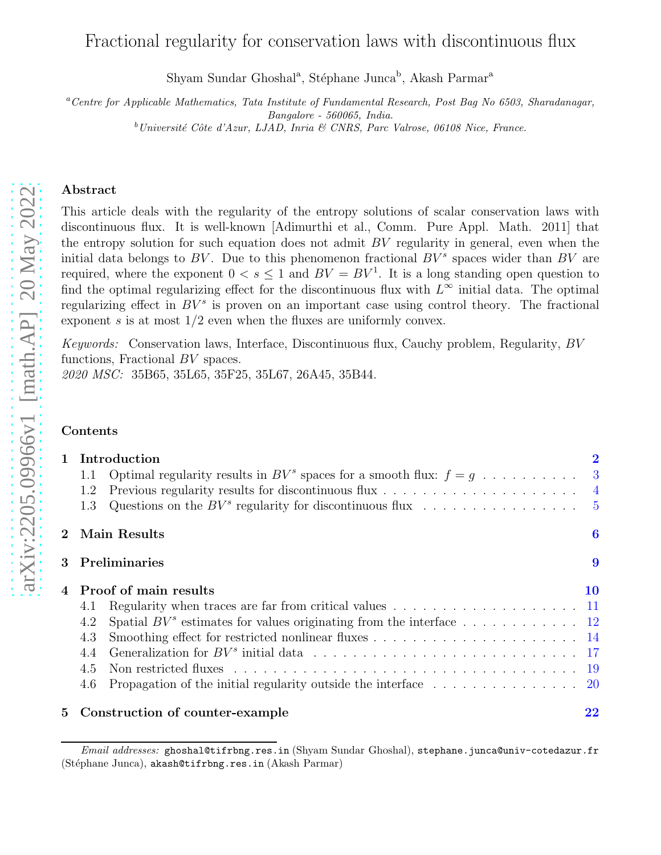# Fractional regularity for conservation laws with discontinuous flux

Shyam Sundar Ghoshal<sup>a</sup>, Stéphane Junca<sup>b</sup>, Akash Parmar<sup>a</sup>

<sup>a</sup>*Centre for Applicable Mathematics, Tata Institute of Fundamental Research, Post Bag No 6503, Sharadanagar, Bangalore - 560065, India.* <sup>b</sup>*Universit´e Cˆote d'Azur, LJAD, Inria & CNRS, Parc Valrose, 06108 Nice, France.*

### Abstract

This article deals with the regularity of the entropy solutions of scalar conservation laws with discontinuous flux. It is well-known [Adimurthi et al., Comm. Pure Appl. Math. 2011] that the entropy solution for such equation does not admit  $BV$  regularity in general, even when the initial data belongs to BV. Due to this phenomenon fractional  $BV^s$  spaces wider than BV are required, where the exponent  $0 < s \leq 1$  and  $BV = BV^1$ . It is a long standing open question to find the optimal regularizing effect for the discontinuous flux with  $L^{\infty}$  initial data. The optimal regularizing effect in  $BV^s$  is proven on an important case using control theory. The fractional exponent s is at most  $1/2$  even when the fluxes are uniformly convex.

Keywords: Conservation laws, Interface, Discontinuous flux, Cauchy problem, Regularity, BV functions, Fractional BV spaces.

2020 MSC: 35B65, 35L65, 35F25, 35L67, 26A45, 35B44.

### Contents

| $\mathbf{1}$   | Introduction                                                                                                     | $\bf{2}$ |
|----------------|------------------------------------------------------------------------------------------------------------------|----------|
|                | Optimal regularity results in $BV^s$ spaces for a smooth flux: $f = g \dots \dots \dots \dots$<br>1.1            |          |
|                | Previous regularity results for discontinuous flux $\dots \dots \dots \dots \dots \dots \dots$<br>1.2            |          |
|                | 1.3                                                                                                              |          |
| $2^{\circ}$    | Main Results                                                                                                     | 6        |
| $\mathbf{3}$   | <b>Preliminaries</b>                                                                                             | 9        |
|                | Proof of main results                                                                                            | 10       |
|                | Regularity when traces are far from critical values $\ldots \ldots \ldots \ldots \ldots \ldots \ldots 11$<br>4.1 |          |
|                | 4.2                                                                                                              |          |
|                | 4.3                                                                                                              |          |
|                | 4.4                                                                                                              |          |
|                | 4.5                                                                                                              |          |
|                | Propagation of the initial regularity outside the interface $\dots \dots \dots \dots \dots$<br>4.6               |          |
| 5 <sup>5</sup> | Construction of counter-example                                                                                  | 22       |

*Email addresses:* ghoshal@tifrbng.res.in (Shyam Sundar Ghoshal), stephane.junca@univ-cotedazur.fr (Stéphane Junca), akash@tifrbng.res.in (Akash Parmar)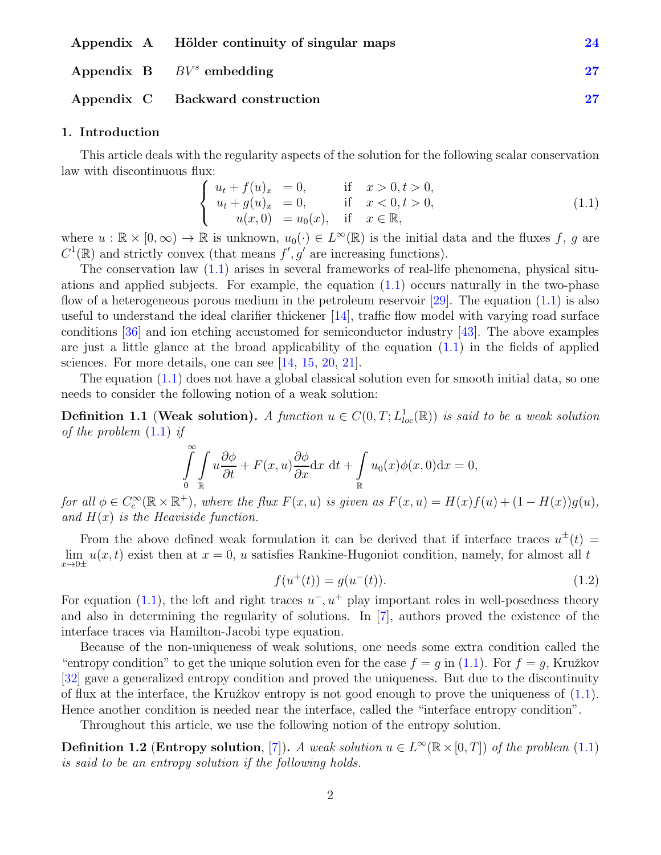| Appendix A Hölder continuity of singular maps | 24       |
|-----------------------------------------------|----------|
| Appendix $B \tBV^s$ embedding                 | $\bf 27$ |
| Appendix C Backward construction              |          |

### <span id="page-1-0"></span>1. Introduction

This article deals with the regularity aspects of the solution for the following scalar conservation law with discontinuous flux:

<span id="page-1-1"></span>
$$
\begin{cases}\n u_t + f(u)_x = 0, & \text{if } x > 0, t > 0, \\
 u_t + g(u)_x = 0, & \text{if } x < 0, t > 0, \\
 u(x, 0) = u_0(x), & \text{if } x \in \mathbb{R},\n\end{cases}
$$
\n(1.1)

where  $u : \mathbb{R} \times [0, \infty) \to \mathbb{R}$  is unknown,  $u_0(\cdot) \in L^{\infty}(\mathbb{R})$  is the initial data and the fluxes f, g are  $C^1(\mathbb{R})$  and strictly convex (that means  $f', g'$  are increasing functions).

The conservation law  $(1.1)$  arises in several frameworks of real-life phenomena, physical situations and applied subjects. For example, the equation  $(1.1)$  occurs naturally in the two-phase flow of a heterogeneous porous medium in the petroleum reservoir [\[29](#page-30-0)]. The equation  $(1.1)$  is also useful to understand the ideal clarifier thickener [\[14](#page-29-0)], traffic flow model with varying road surface conditions [\[36\]](#page-30-1) and ion etching accustomed for semiconductor industry [\[43](#page-30-2)]. The above examples are just a little glance at the broad applicability of the equation  $(1.1)$  in the fields of applied sciences. For more details, one can see [\[14](#page-29-0), [15](#page-29-1), [20](#page-29-2), [21\]](#page-29-3).

The equation  $(1.1)$  does not have a global classical solution even for smooth initial data, so one needs to consider the following notion of a weak solution:

**Definition 1.1 (Weak solution).** A function  $u \in C(0,T; L^{1}_{loc}(\mathbb{R}))$  is said to be a weak solution of the problem  $(1.1)$  if

$$
\int_{0}^{\infty} \int_{\mathbb{R}} u \frac{\partial \phi}{\partial t} + F(x, u) \frac{\partial \phi}{\partial x} dx dt + \int_{\mathbb{R}} u_0(x) \phi(x, 0) dx = 0,
$$

for all  $\phi \in C_c^{\infty}(\mathbb{R} \times \mathbb{R}^+)$ , where the flux  $F(x, u)$  is given as  $F(x, u) = H(x)f(u) + (1 - H(x))g(u)$ , and  $H(x)$  is the Heaviside function.

From the above defined weak formulation it can be derived that if interface traces  $u^{\pm}(t)$  $\lim_{x\to 0\pm} u(x,t)$  exist then at  $x=0$ , u satisfies Rankine-Hugoniot condition, namely, for almost all t

<span id="page-1-2"></span>
$$
f(u^+(t)) = g(u^-(t)).
$$
\n(1.2)

For equation [\(1.1\)](#page-1-1), the left and right traces  $u^-, u^+$  play important roles in well-posedness theory and also in determining the regularity of solutions. In [\[7\]](#page-28-0), authors proved the existence of the interface traces via Hamilton-Jacobi type equation.

Because of the non-uniqueness of weak solutions, one needs some extra condition called the "entropy condition" to get the unique solution even for the case  $f = g$  in [\(1.1\)](#page-1-1). For  $f = g$ , Kružkov [\[32\]](#page-30-3) gave a generalized entropy condition and proved the uniqueness. But due to the discontinuity of flux at the interface, the Kružkov entropy is not good enough to prove the uniqueness of  $(1.1)$ . Hence another condition is needed near the interface, called the "interface entropy condition".

Throughout this article, we use the following notion of the entropy solution.

**Definition 1.2 (Entropy solution**, [\[7\]](#page-28-0)). A weak solution  $u \in L^{\infty}(\mathbb{R} \times [0,T])$  of the problem [\(1.1\)](#page-1-1) is said to be an entropy solution if the following holds.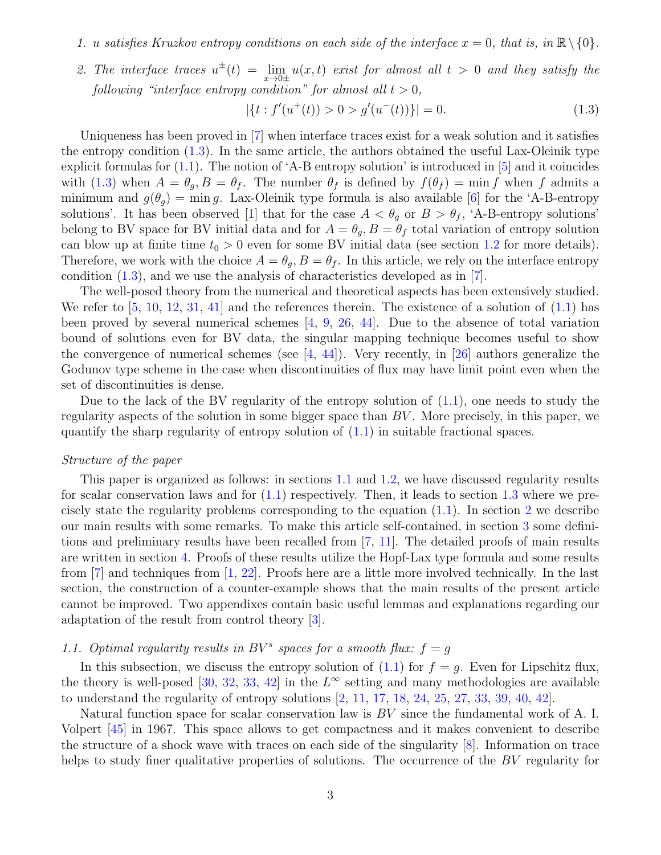- 1. u satisfies Kruzkov entropy conditions on each side of the interface  $x = 0$ , that is, in  $\mathbb{R}\setminus\{0\}$ .
- 2. The interface traces  $u^{\pm}(t) = \lim_{x\to 0\pm} u(x,t)$  exist for almost all  $t > 0$  and they satisfy the following "interface entropy condition" for almost all  $t > 0$ ,

<span id="page-2-1"></span>
$$
|\{t : f'(u^+(t)) > 0 > g'(u^-(t))\}| = 0.
$$
\n(1.3)

Uniqueness has been proved in [\[7](#page-28-0)] when interface traces exist for a weak solution and it satisfies the entropy condition  $(1.3)$ . In the same article, the authors obtained the useful Lax-Oleinik type explicit formulas for  $(1.1)$ . The notion of 'A-B entropy solution' is introduced in  $[5]$  and it coincides with [\(1.3\)](#page-2-1) when  $A = \theta_q, B = \theta_f$ . The number  $\theta_f$  is defined by  $f(\theta_f) = \min f$  when f admits a minimum and  $g(\theta_q) = \min g$ . Lax-Oleinik type formula is also available [\[6\]](#page-28-2) for the 'A-B-entropy solutions'. It has been observed [\[1\]](#page-28-3) that for the case  $A < \theta_q$  or  $B > \theta_f$ , 'A-B-entropy solutions' belong to BV space for BV initial data and for  $A = \theta_g$ ,  $B = \theta_f$  total variation of entropy solution can blow up at finite time  $t_0 > 0$  even for some BV initial data (see section [1.2](#page-3-0) for more details). Therefore, we work with the choice  $A = \theta_q$ ,  $B = \theta_f$ . In this article, we rely on the interface entropy condition  $(1.3)$ , and we use the analysis of characteristics developed as in [\[7\]](#page-28-0).

The well-posed theory from the numerical and theoretical aspects has been extensively studied. We refer to  $[5, 10, 12, 31, 41]$  $[5, 10, 12, 31, 41]$  $[5, 10, 12, 31, 41]$  $[5, 10, 12, 31, 41]$  $[5, 10, 12, 31, 41]$  $[5, 10, 12, 31, 41]$  $[5, 10, 12, 31, 41]$  $[5, 10, 12, 31, 41]$  $[5, 10, 12, 31, 41]$  and the references therein. The existence of a solution of  $(1.1)$  has been proved by several numerical schemes  $[4, 9, 26, 44]$  $[4, 9, 26, 44]$  $[4, 9, 26, 44]$  $[4, 9, 26, 44]$  $[4, 9, 26, 44]$  $[4, 9, 26, 44]$  $[4, 9, 26, 44]$ . Due to the absence of total variation bound of solutions even for BV data, the singular mapping technique becomes useful to show the convergence of numerical schemes (see  $[4, 44]$  $[4, 44]$ ). Very recently, in [\[26](#page-29-4)] authors generalize the Godunov type scheme in the case when discontinuities of flux may have limit point even when the set of discontinuities is dense.

Due to the lack of the BV regularity of the entropy solution of  $(1.1)$ , one needs to study the regularity aspects of the solution in some bigger space than BV . More precisely, in this paper, we quantify the sharp regularity of entropy solution of  $(1.1)$  in suitable fractional spaces.

#### Structure of the paper

This paper is organized as follows: in sections [1.1](#page-2-0) and [1.2,](#page-3-0) we have discussed regularity results for scalar conservation laws and for  $(1.1)$  respectively. Then, it leads to section [1.3](#page-4-0) where we precisely state the regularity problems corresponding to the equation [\(1.1\)](#page-1-1). In section [2](#page-5-0) we describe our main results with some remarks. To make this article self-contained, in section [3](#page-8-0) some definitions and preliminary results have been recalled from [\[7,](#page-28-0) [11\]](#page-28-8). The detailed proofs of main results are written in section [4.](#page-9-0) Proofs of these results utilize the Hopf-Lax type formula and some results from  $\lceil 7 \rceil$  and techniques from  $\lceil 1, 22 \rceil$  $\lceil 1, 22 \rceil$  $\lceil 1, 22 \rceil$ . Proofs here are a little more involved technically. In the last section, the construction of a counter-example shows that the main results of the present article cannot be improved. Two appendixes contain basic useful lemmas and explanations regarding our adaptation of the result from control theory [\[3\]](#page-28-9).

# <span id="page-2-0"></span>1.1. Optimal regularity results in  $BV^s$  spaces for a smooth flux:  $f = g$

In this subsection, we discuss the entropy solution of  $(1.1)$  for  $f = g$ . Even for Lipschitz flux, the theory is well-posed [\[30,](#page-30-7) [32,](#page-30-3) [33](#page-30-8), [42\]](#page-30-9) in the  $L^{\infty}$  setting and many methodologies are available to understand the regularity of entropy solutions [\[2,](#page-28-10) [11,](#page-28-8) [17](#page-29-6), [18](#page-29-7), [24](#page-29-8), [25,](#page-29-9) [27,](#page-29-10) [33,](#page-30-8) [39,](#page-30-10) [40](#page-30-11), [42](#page-30-9)].

Natural function space for scalar conservation law is BV since the fundamental work of A. I. Volpert [\[45](#page-30-12)] in 1967. This space allows to get compactness and it makes convenient to describe the structure of a shock wave with traces on each side of the singularity [\[8\]](#page-28-11). Information on trace helps to study finer qualitative properties of solutions. The occurrence of the BV regularity for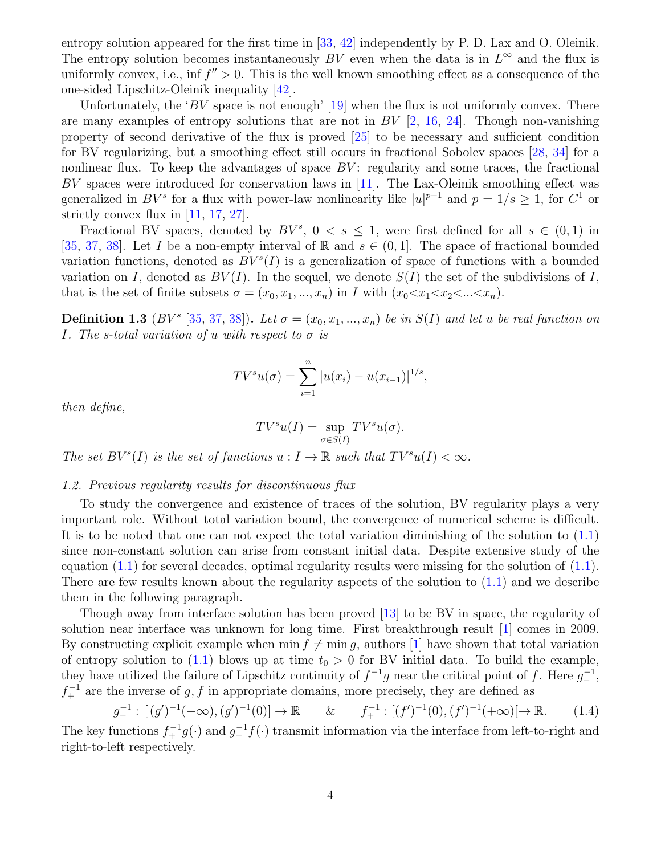entropy solution appeared for the first time in [\[33](#page-30-8), [42\]](#page-30-9) independently by P. D. Lax and O. Oleinik. The entropy solution becomes instantaneously BV even when the data is in  $L^{\infty}$  and the flux is uniformly convex, i.e., inf  $f'' > 0$ . This is the well known smoothing effect as a consequence of the one-sided Lipschitz-Oleinik inequality [\[42\]](#page-30-9).

Unfortunately, the 'BV space is not enough'  $[19]$  when the flux is not uniformly convex. There are many examples of entropy solutions that are not in  $BV$  [\[2,](#page-28-10) [16,](#page-29-12) [24](#page-29-8)]. Though non-vanishing property of second derivative of the flux is proved [\[25](#page-29-9)] to be necessary and sufficient condition for BV regularizing, but a smoothing effect still occurs in fractional Sobolev spaces [\[28,](#page-29-13) [34\]](#page-30-13) for a nonlinear flux. To keep the advantages of space  $BV$ : regularity and some traces, the fractional BV spaces were introduced for conservation laws in [\[11](#page-28-8)]. The Lax-Oleinik smoothing effect was generalized in  $BV^s$  for a flux with power-law nonlinearity like  $|u|^{p+1}$  and  $p = 1/s \ge 1$ , for  $C^1$  or strictly convex flux in [\[11,](#page-28-8) [17,](#page-29-6) [27\]](#page-29-10).

Fractional BV spaces, denoted by  $BV^s$ ,  $0 < s \le 1$ , were first defined for all  $s \in (0,1)$  in [\[35,](#page-30-14) [37,](#page-30-15) [38](#page-30-16)]. Let I be a non-empty interval of R and  $s \in (0,1]$ . The space of fractional bounded variation functions, denoted as  $BV<sup>s</sup>(I)$  is a generalization of space of functions with a bounded variation on I, denoted as  $BV(I)$ . In the sequel, we denote  $S(I)$  the set of the subdivisions of I, that is the set of finite subsets  $\sigma = (x_0, x_1, ..., x_n)$  in I with  $(x_0 < x_1 < x_2 < ... < x_n)$ .

**Definition 1.3** (BV<sup>s</sup> [\[35,](#page-30-14) [37,](#page-30-15) [38](#page-30-16)]). Let  $\sigma = (x_0, x_1, ..., x_n)$  be in  $S(I)$  and let u be real function on I. The s-total variation of u with respect to  $\sigma$  is

$$
TV^{s}u(\sigma) = \sum_{i=1}^{n} |u(x_i) - u(x_{i-1})|^{1/s},
$$

then define,

$$
TV^s u(I) = \sup_{\sigma \in S(I)} TV^s u(\sigma).
$$

The set  $BV^{s}(I)$  is the set of functions  $u: I \to \mathbb{R}$  such that  $TV^{s}u(I) < \infty$ .

#### <span id="page-3-0"></span>1.2. Previous regularity results for discontinuous flux

To study the convergence and existence of traces of the solution, BV regularity plays a very important role. Without total variation bound, the convergence of numerical scheme is difficult. It is to be noted that one can not expect the total variation diminishing of the solution to [\(1.1\)](#page-1-1) since non-constant solution can arise from constant initial data. Despite extensive study of the equation  $(1.1)$  for several decades, optimal regularity results were missing for the solution of  $(1.1)$ . There are few results known about the regularity aspects of the solution to  $(1.1)$  and we describe them in the following paragraph.

Though away from interface solution has been proved [\[13\]](#page-28-12) to be BV in space, the regularity of solution near interface was unknown for long time. First breakthrough result [\[1\]](#page-28-3) comes in 2009. By constructing explicit example when  $\min f \neq \min g$ , authors [\[1](#page-28-3)] have shown that total variation of entropy solution to [\(1.1\)](#page-1-1) blows up at time  $t_0 > 0$  for BV initial data. To build the example, they have utilized the failure of Lipschitz continuity of  $f^{-1}g$  near the critical point of f. Here  $g_{-}^{-1}$ ,  $f_{+}^{-1}$  are the inverse of g, f in appropriate domains, more precisely, they are defined as

$$
g_{-}^{-1}: \, \left[ (g')^{-1}(-\infty), (g')^{-1}(0) \right] \to \mathbb{R} \qquad \& \qquad f_{+}^{-1}: \left[ (f')^{-1}(0), (f')^{-1}(+\infty) \right] \to \mathbb{R}. \tag{1.4}
$$

The key functions  $f_{+}^{-1}g(\cdot)$  and  $g_{-}^{-1}f(\cdot)$  transmit information via the interface from left-to-right and right-to-left respectively.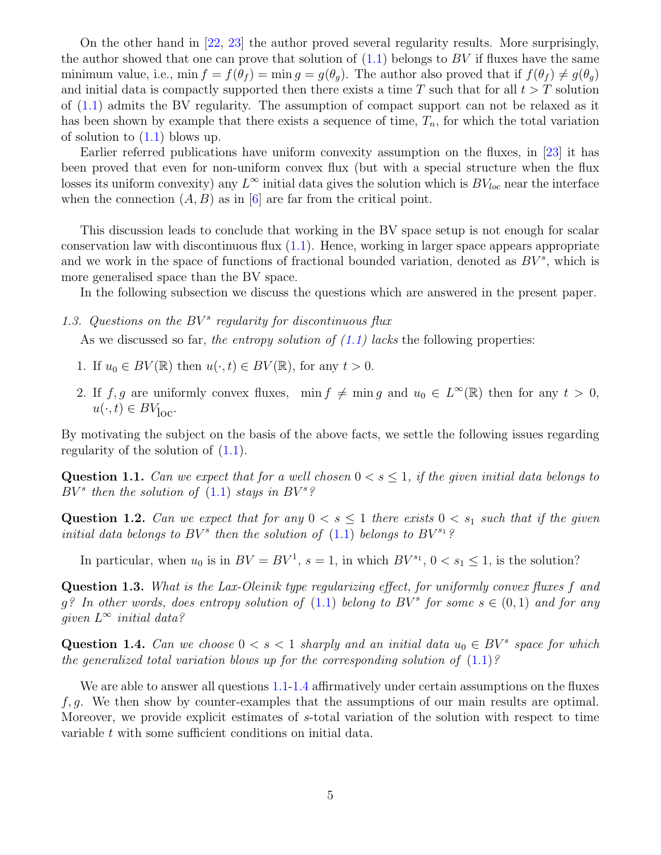On the other hand in [\[22](#page-29-5), [23](#page-29-14)] the author proved several regularity results. More surprisingly, the author showed that one can prove that solution of  $(1.1)$  belongs to BV if fluxes have the same minimum value, i.e., min  $f = f(\theta_f) = \min g = g(\theta_q)$ . The author also proved that if  $f(\theta_f) \neq g(\theta_q)$ and initial data is compactly supported then there exists a time  $T$  such that for all  $t > T$  solution of [\(1.1\)](#page-1-1) admits the BV regularity. The assumption of compact support can not be relaxed as it has been shown by example that there exists a sequence of time,  $T_n$ , for which the total variation of solution to  $(1.1)$  blows up.

Earlier referred publications have uniform convexity assumption on the fluxes, in [\[23\]](#page-29-14) it has been proved that even for non-uniform convex flux (but with a special structure when the flux losses its uniform convexity) any  $L^{\infty}$  initial data gives the solution which is  $BV_{loc}$  near the interface when the connection  $(A, B)$  as in [\[6\]](#page-28-2) are far from the critical point.

This discussion leads to conclude that working in the BV space setup is not enough for scalar conservation law with discontinuous flux  $(1.1)$ . Hence, working in larger space appears appropriate and we work in the space of functions of fractional bounded variation, denoted as  $BV^s$ , which is more generalised space than the BV space.

In the following subsection we discuss the questions which are answered in the present paper.

<span id="page-4-0"></span>1.3. Questions on the  $BV^s$  regularity for discontinuous flux

As we discussed so far, the entropy solution of  $(1.1)$  lacks the following properties:

- 1. If  $u_0 \in BV(\mathbb{R})$  then  $u(\cdot, t) \in BV(\mathbb{R})$ , for any  $t > 0$ .
- 2. If f, g are uniformly convex fluxes,  $\min f \neq \min g$  and  $u_0 \in L^{\infty}(\mathbb{R})$  then for any  $t > 0$ ,  $u(\cdot, t) \in BV_{\text{loc}}.$

<span id="page-4-1"></span>By motivating the subject on the basis of the above facts, we settle the following issues regarding regularity of the solution of  $(1.1)$ .

**Question 1.1.** Can we expect that for a well chosen  $0 < s \leq 1$ , if the given initial data belongs to  $BV^s$  then the solution of [\(1.1\)](#page-1-1) stays in  $BV^s$ ?

Question 1.2. Can we expect that for any  $0 < s \leq 1$  there exists  $0 < s_1$  such that if the given initial data belongs to  $BV^s$  then the solution of  $(1.1)$  belongs to  $BV^{s_1}$ ?

In particular, when  $u_0$  is in  $BV = BV^1$ ,  $s = 1$ , in which  $BV^{s_1}$ ,  $0 < s_1 \leq 1$ , is the solution?

Question 1.3. What is the Lax-Oleinik type regularizing effect, for uniformly convex fluxes f and  $g$ ? In other words, does entropy solution of  $(1.1)$  belong to  $BV^s$  for some  $s \in (0,1)$  and for any given  $L^{\infty}$  initial data?

<span id="page-4-2"></span>Question 1.4. Can we choose  $0 < s < 1$  sharply and an initial data  $u_0 \in BV^s$  space for which the generalized total variation blows up for the corresponding solution of  $(1.1)$ ?

We are able to answer all questions [1.1](#page-4-1)[-1.4](#page-4-2) affirmatively under certain assumptions on the fluxes  $f, g$ . We then show by counter-examples that the assumptions of our main results are optimal. Moreover, we provide explicit estimates of s-total variation of the solution with respect to time variable t with some sufficient conditions on initial data.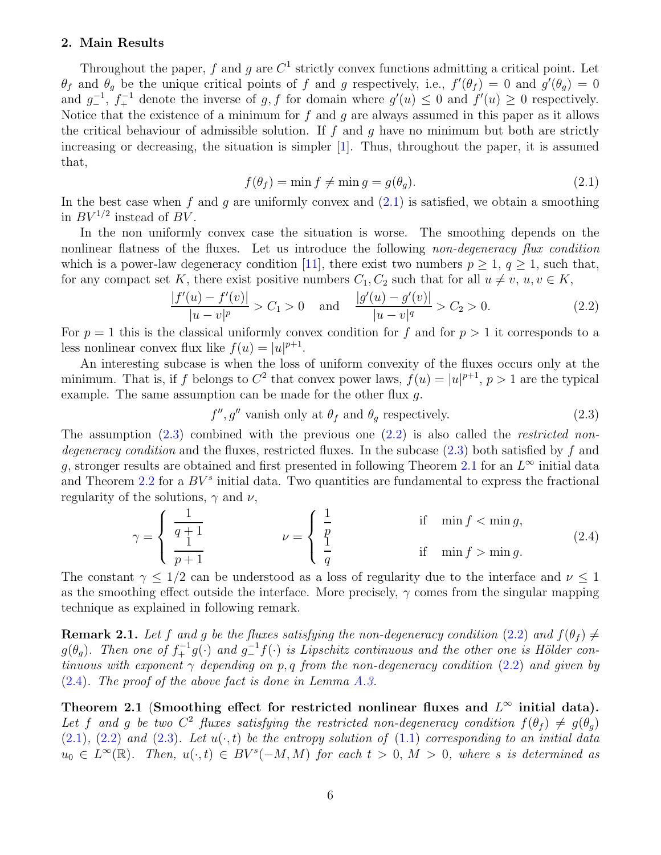## <span id="page-5-0"></span>2. Main Results

Throughout the paper, f and g are  $C^1$  strictly convex functions admitting a critical point. Let  $\theta_f$  and  $\theta_g$  be the unique critical points of f and g respectively, i.e.,  $f'(\theta_f) = 0$  and  $g'(\theta_g) = 0$ and  $g^{-1}$ ,  $f^{-1}$  denote the inverse of g, f for domain where  $g'(u) \leq 0$  and  $f'(u) \geq 0$  respectively. Notice that the existence of a minimum for  $f$  and  $g$  are always assumed in this paper as it allows the critical behaviour of admissible solution. If  $f$  and  $q$  have no minimum but both are strictly increasing or decreasing, the situation is simpler  $[1]$ . Thus, throughout the paper, it is assumed that,

<span id="page-5-1"></span>
$$
f(\theta_f) = \min f \neq \min g = g(\theta_g). \tag{2.1}
$$

In the best case when f and g are uniformly convex and  $(2.1)$  is satisfied, we obtain a smoothing in  $BV^{1/2}$  instead of  $BV$ .

In the non uniformly convex case the situation is worse. The smoothing depends on the nonlinear flatness of the fluxes. Let us introduce the following non-degeneracy flux condition which is a power-law degeneracy condition [\[11\]](#page-28-8), there exist two numbers  $p \geq 1$ ,  $q \geq 1$ , such that, for any compact set K, there exist positive numbers  $C_1, C_2$  such that for all  $u \neq v, u, v \in K$ ,

<span id="page-5-3"></span>
$$
\frac{|f'(u) - f'(v)|}{|u - v|^p} > C_1 > 0 \quad \text{and} \quad \frac{|g'(u) - g'(v)|}{|u - v|^q} > C_2 > 0. \tag{2.2}
$$

For  $p = 1$  this is the classical uniformly convex condition for f and for  $p > 1$  it corresponds to a less nonlinear convex flux like  $f(u) = |u|^{p+1}$ .

An interesting subcase is when the loss of uniform convexity of the fluxes occurs only at the minimum. That is, if f belongs to  $C^2$  that convex power laws,  $f(u) = |u|^{p+1}$ ,  $p > 1$  are the typical example. The same assumption can be made for the other flux  $q$ .

<span id="page-5-5"></span><span id="page-5-2"></span>
$$
f''
$$
,  $g''$  vanish only at  $\theta_f$  and  $\theta_g$  respectively. (2.3)

The assumption  $(2.3)$  combined with the previous one  $(2.2)$  is also called the *restricted non*degeneracy condition and the fluxes, restricted fluxes. In the subcase  $(2.3)$  both satisfied by f and g, stronger results are obtained and first presented in following Theorem [2.1](#page-5-4) for an  $L^{\infty}$  initial data and Theorem [2.2](#page-6-0) for a  $BV^s$  initial data. Two quantities are fundamental to express the fractional regularity of the solutions,  $\gamma$  and  $\nu$ ,

$$
\gamma = \begin{cases} \frac{1}{q+1} & \text{if } \min f < \min g, \\ \frac{1}{p+1} & \text{if } \min f > \min g. \end{cases} \tag{2.4}
$$

The constant  $\gamma \leq 1/2$  can be understood as a loss of regularity due to the interface and  $\nu \leq 1$ as the smoothing effect outside the interface. More precisely,  $\gamma$  comes from the singular mapping technique as explained in following remark.

**Remark 2.1.** Let f and g be the fluxes satisfying the non-degeneracy condition [\(2.2\)](#page-5-3) and  $f(\theta_f) \neq$  $g(\theta_g)$ . Then one of  $f_+^{-1}g(\cdot)$  and  $g_-^{-1}f(\cdot)$  is Lipschitz continuous and the other one is Hölder continuous with exponent  $\gamma$  depending on p, q from the non-degeneracy condition [\(2.2\)](#page-5-3) and given by [\(2.4\)](#page-5-5). The proof of the above fact is done in Lemma [A.3.](#page-24-0)

<span id="page-5-4"></span>Theorem 2.1 (Smoothing effect for restricted nonlinear fluxes and  $L^{\infty}$  initial data). Let f and g be two  $C^2$  fluxes satisfying the restricted non-degeneracy condition  $f(\theta_f) \neq g(\theta_g)$  $(2.1)$ ,  $(2.2)$  and  $(2.3)$ . Let  $u(\cdot, t)$  be the entropy solution of  $(1.1)$  corresponding to an initial data  $u_0 \in L^{\infty}(\mathbb{R})$ . Then,  $u(\cdot,t) \in BV^{s}(-M,M)$  for each  $t > 0$ ,  $M > 0$ , where s is determined as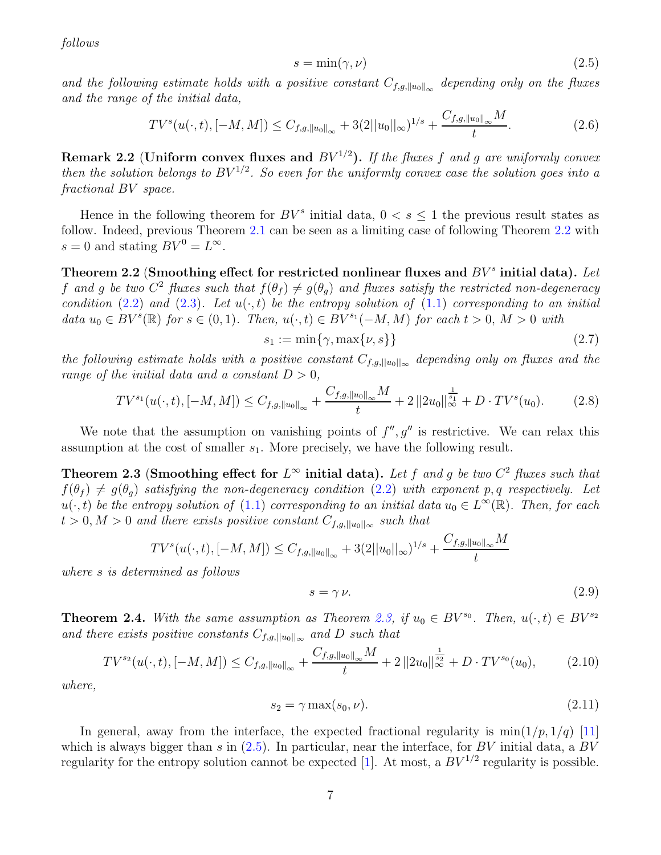follows

<span id="page-6-2"></span>
$$
s = \min(\gamma, \nu) \tag{2.5}
$$

and the following estimate holds with a positive constant  $C_{f,g,\|u_0\|_{\infty}}$  depending only on the fluxes and the range of the initial data,

$$
TV^s(u(\cdot,t),[-M,M]) \leq C_{f,g,\|u_0\|_{\infty}} + 3(2||u_0||_{\infty})^{1/s} + \frac{C_{f,g,\|u_0\|_{\infty}}M}{t}.
$$
\n(2.6)

Remark 2.2 (Uniform convex fluxes and  $BV^{1/2}$ ). If the fluxes f and g are uniformly convex then the solution belongs to  $BV^{1/2}$ . So even for the uniformly convex case the solution goes into a fractional BV space.

Hence in the following theorem for  $BV^s$  initial data,  $0 < s \leq 1$  the previous result states as follow. Indeed, previous Theorem [2.1](#page-5-4) can be seen as a limiting case of following Theorem [2.2](#page-6-0) with  $s = 0$  and stating  $BV^0 = L^{\infty}$ .

<span id="page-6-0"></span>Theorem 2.2 (Smoothing effect for restricted nonlinear fluxes and  $BV^s$  initial data). Let f and g be two  $C^2$  fluxes such that  $f(\theta_f) \neq g(\theta_g)$  and fluxes satisfy the restricted non-degeneracy condition [\(2.2\)](#page-5-3) and [\(2.3\)](#page-5-2). Let  $u(\cdot, t)$  be the entropy solution of [\(1.1\)](#page-1-1) corresponding to an initial data  $u_0 \in BV^{s}(\mathbb{R})$  for  $s \in (0,1)$ . Then,  $u(\cdot,t) \in BV^{s_1}(-M,M)$  for each  $t > 0$ ,  $M > 0$  with

$$
s_1 := \min\{\gamma, \max\{\nu, s\}\}\tag{2.7}
$$

the following estimate holds with a positive constant  $C_{f,g,||u_0||_{\infty}}$  depending only on fluxes and the range of the initial data and a constant  $D > 0$ ,

$$
TV^{s_1}(u(\cdot,t),[-M,M]) \leq C_{f,g,\|u_0\|_{\infty}} + \frac{C_{f,g,\|u_0\|_{\infty}}M}{t} + 2\left\|2u_0\right\|_{\infty}^{\frac{1}{s_1}} + D \cdot TV^s(u_0). \tag{2.8}
$$

<span id="page-6-1"></span>We note that the assumption on vanishing points of  $f'', g''$  is restrictive. We can relax this assumption at the cost of smaller  $s_1$ . More precisely, we have the following result.

Theorem 2.3 (Smoothing effect for  $L^{\infty}$  initial data). Let f and g be two  $C^2$  fluxes such that  $f(\theta_f) \neq g(\theta_q)$  satisfying the non-degeneracy condition [\(2.2\)](#page-5-3) with exponent p, q respectively. Let  $u(\cdot,t)$  be the entropy solution of  $(1.1)$  corresponding to an initial data  $u_0 \in L^{\infty}(\mathbb{R})$ . Then, for each  $t > 0, M > 0$  and there exists positive constant  $C_{f,g,||u_0||_{\infty}}$  such that

$$
TV^s(u(\cdot,t),[-M,M]) \leq C_{f,g,\|u_0\|_{\infty}} + 3(2||u_0||_{\infty})^{1/s} + \frac{C_{f,g,\|u_0\|_{\infty}}M}{t}
$$

where s is determined as follows

$$
s = \gamma \nu. \tag{2.9}
$$

**Theorem 2.4.** With the same assumption as Theorem [2.3,](#page-6-1) if  $u_0 \in BV^{s_0}$ . Then,  $u(\cdot, t) \in BV^{s_2}$ and there exists positive constants  $C_{f,g,||u_0||_{\infty}}$  and D such that

$$
TV^{s_2}(u(\cdot,t),[-M,M]) \leq C_{f,g,\|u_0\|_{\infty}} + \frac{C_{f,g,\|u_0\|_{\infty}}M}{t} + 2\left\|2u_0\right\|_{\infty}^{\frac{1}{s_2}} + D \cdot TV^{s_0}(u_0),\tag{2.10}
$$

where,

$$
s_2 = \gamma \max(s_0, \nu). \tag{2.11}
$$

In general, away from the interface, the expected fractional regularity is  $\min(1/p, 1/q)$  [\[11](#page-28-8)] which is always bigger than s in  $(2.5)$ . In particular, near the interface, for BV initial data, a BV regularity for the entropy solution cannot be expected [\[1](#page-28-3)]. At most, a  $BV^{1/2}$  regularity is possible.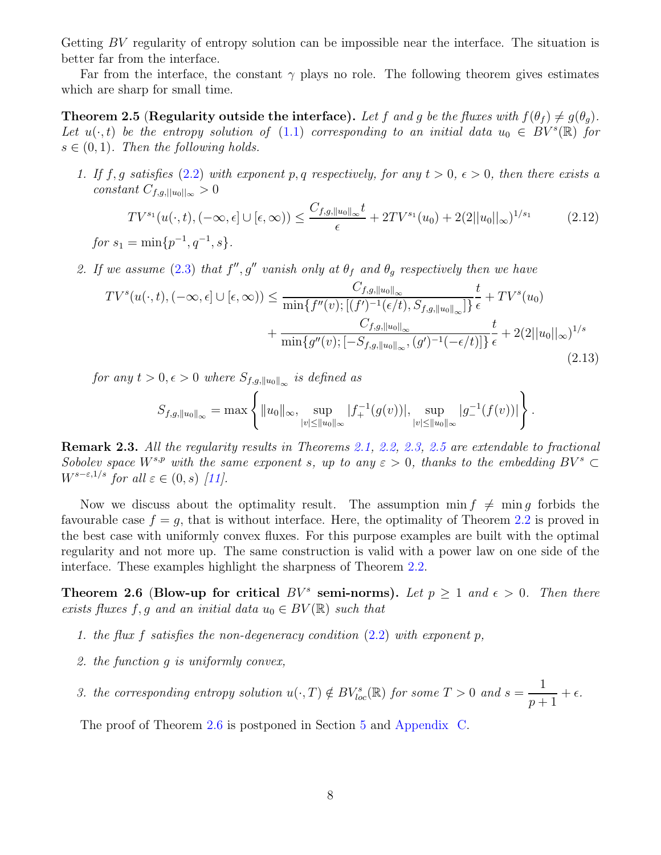Getting BV regularity of entropy solution can be impossible near the interface. The situation is better far from the interface.

<span id="page-7-0"></span>Far from the interface, the constant  $\gamma$  plays no role. The following theorem gives estimates which are sharp for small time.

**Theorem 2.5 (Regularity outside the interface).** Let f and g be the fluxes with  $f(\theta_f) \neq g(\theta_q)$ . Let  $u(\cdot,t)$  be the entropy solution of [\(1.1\)](#page-1-1) corresponding to an initial data  $u_0 \in BV^{s}(\mathbb{R})$  for  $s \in (0, 1)$ . Then the following holds.

1. If f, g satisfies [\(2.2\)](#page-5-3) with exponent p, q respectively, for any  $t > 0$ ,  $\epsilon > 0$ , then there exists a constant  $C_{f,g,||u_0||_{\infty}}>0$ 

$$
TV^{s_1}(u(\cdot,t), (-\infty, \epsilon] \cup [\epsilon, \infty)) \le \frac{C_{f,g, \|u_0\|_{\infty}}t}{\epsilon} + 2TV^{s_1}(u_0) + 2(2||u_0||_{\infty})^{1/s_1}
$$
(2.12)

 $for s_1 = \min\{p^{-1}, q^{-1}, s\}.$ 

2. If we assume [\(2.3\)](#page-5-2) that  $f'', g''$  vanish only at  $\theta_f$  and  $\theta_g$  respectively then we have

$$
TV^{s}(u(\cdot,t),(-\infty,\epsilon] \cup [\epsilon,\infty)) \leq \frac{C_{f,g,\|u_{0}\|_{\infty}}}{\min\{f''(v);[(f')^{-1}(\epsilon/t),S_{f,g,\|u_{0}\|_{\infty}}]\}}\frac{t}{\epsilon} + TV^{s}(u_{0}) + \frac{C_{f,g,\|u_{0}\|_{\infty}}}{\min\{g''(v);[-S_{f,g,\|u_{0}\|_{\infty},(g')^{-1}(-\epsilon/t)]\}}\frac{t}{\epsilon} + 2(2||u_{0}||_{\infty})^{1/s}
$$
\n(2.13)

for any  $t > 0, \epsilon > 0$  where  $S_{f,g,\|u_0\|_{\infty}}$  is defined as

$$
S_{f,g,\|u_0\|_{\infty}} = \max \left\{ \|u_0\|_{\infty}, \sup_{|v| \le \|u_0\|_{\infty}} |f_+^{-1}(g(v))|, \sup_{|v| \le \|u_0\|_{\infty}} |g_-^{-1}(f(v))| \right\}.
$$

Remark 2.3. All the regularity results in Theorems [2.1,](#page-5-4) [2.2,](#page-6-0) [2.3,](#page-6-1) [2.5](#page-7-0) are extendable to fractional Sobolev space  $W^{s,p}$  with the same exponent s, up to any  $\varepsilon > 0$ , thanks to the embedding  $BV^s \subset$  $W^{s-\varepsilon,1/s}$  for all  $\varepsilon \in (0,s)$  [\[11](#page-28-8)].

Now we discuss about the optimality result. The assumption  $\min f \neq \min g$  forbids the favourable case  $f = g$ , that is without interface. Here, the optimality of Theorem [2.2](#page-6-0) is proved in the best case with uniformly convex fluxes. For this purpose examples are built with the optimal regularity and not more up. The same construction is valid with a power law on one side of the interface. These examples highlight the sharpness of Theorem [2.2.](#page-6-0)

<span id="page-7-1"></span>Theorem 2.6 (Blow-up for critical  $BV^s$  semi-norms). Let  $p \geq 1$  and  $\epsilon > 0$ . Then there exists fluxes f, g and an initial data  $u_0 \in BV(\mathbb{R})$  such that

- 1. the flux f satisfies the non-degeneracy condition  $(2.2)$  with exponent p,
- 2. the function g is uniformly convex,
- 3. the corresponding entropy solution  $u(\cdot,T) \notin BV_{loc}^{s}(\mathbb{R})$  for some  $T > 0$  and  $s = \frac{1}{T-1}$  $p+1$  $+$   $\epsilon$ .

The proof of Theorem [2.6](#page-7-1) is postponed in Section [5](#page-21-0) and [Appendix C.](#page-26-1)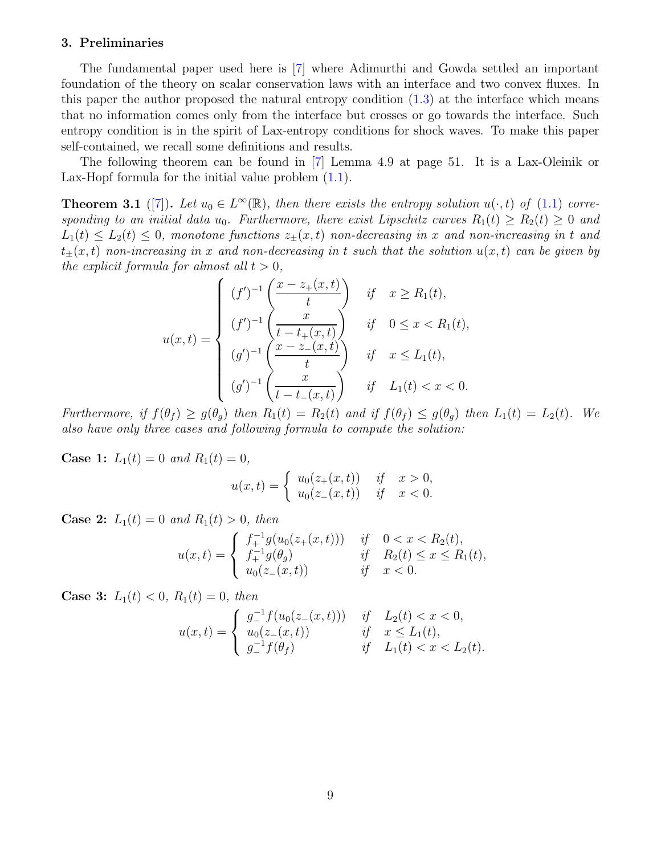### <span id="page-8-0"></span>3. Preliminaries

The fundamental paper used here is [\[7\]](#page-28-0) where Adimurthi and Gowda settled an important foundation of the theory on scalar conservation laws with an interface and two convex fluxes. In this paper the author proposed the natural entropy condition  $(1.3)$  at the interface which means that no information comes only from the interface but crosses or go towards the interface. Such entropy condition is in the spirit of Lax-entropy conditions for shock waves. To make this paper self-contained, we recall some definitions and results.

<span id="page-8-1"></span>The following theorem can be found in [\[7\]](#page-28-0) Lemma 4.9 at page 51. It is a Lax-Oleinik or Lax-Hopf formula for the initial value problem  $(1.1)$ .

**Theorem 3.1** ([\[7](#page-28-0)]). Let  $u_0 \in L^{\infty}(\mathbb{R})$ , then there exists the entropy solution  $u(\cdot, t)$  of [\(1.1\)](#page-1-1) corresponding to an initial data  $u_0$ . Furthermore, there exist Lipschitz curves  $R_1(t) \ge R_2(t) \ge 0$  and  $L_1(t) \leq L_2(t) \leq 0$ , monotone functions  $z_{\pm}(x,t)$  non-decreasing in x and non-increasing in t and  $t_{\pm}(x, t)$  non-increasing in x and non-decreasing in t such that the solution  $u(x, t)$  can be given by the explicit formula for almost all  $t > 0$ ,

$$
u(x,t) = \begin{cases} (f')^{-1} \left( \frac{x - z_+(x,t)}{t} \right) & \text{if } x \ge R_1(t), \\ (f')^{-1} \left( \frac{x}{t - t_+(x,t)} \right) & \text{if } 0 \le x < R_1(t), \\ (g')^{-1} \left( \frac{x - z_-(x,t)}{t} \right) & \text{if } x \le L_1(t), \\ (g')^{-1} \left( \frac{x}{t - t_-(x,t)} \right) & \text{if } L_1(t) < x < 0. \end{cases}
$$

Furthermore, if  $f(\theta_f) \geq g(\theta_q)$  then  $R_1(t) = R_2(t)$  and if  $f(\theta_f) \leq g(\theta_q)$  then  $L_1(t) = L_2(t)$ . We also have only three cases and following formula to compute the solution:

**Case 1:**  $L_1(t) = 0$  and  $R_1(t) = 0$ ,

$$
u(x,t) = \begin{cases} u_0(z_+(x,t)) & \text{if } x > 0, \\ u_0(z_-(x,t)) & \text{if } x < 0. \end{cases}
$$

**Case 2:**  $L_1(t) = 0$  and  $R_1(t) > 0$ , then

$$
u(x,t) = \begin{cases} f_+^{-1}g(u_0(z_+(x,t))) & \text{if } 0 < x < R_2(t), \\ f_+^{-1}g(\theta_g) & \text{if } R_2(t) \le x \le R_1(t), \\ u_0(z_-(x,t)) & \text{if } x < 0. \end{cases}
$$

**Case 3:**  $L_1(t) < 0$ ,  $R_1(t) = 0$ , then

$$
u(x,t) = \begin{cases} g_{-}^{-1}f(u_0(z_{-}(x,t))) & \text{if } L_2(t) < x < 0, \\ u_0(z_{-}(x,t)) & \text{if } x \le L_1(t), \\ g_{-}^{-1}f(\theta_f) & \text{if } L_1(t) < x < L_2(t). \end{cases}
$$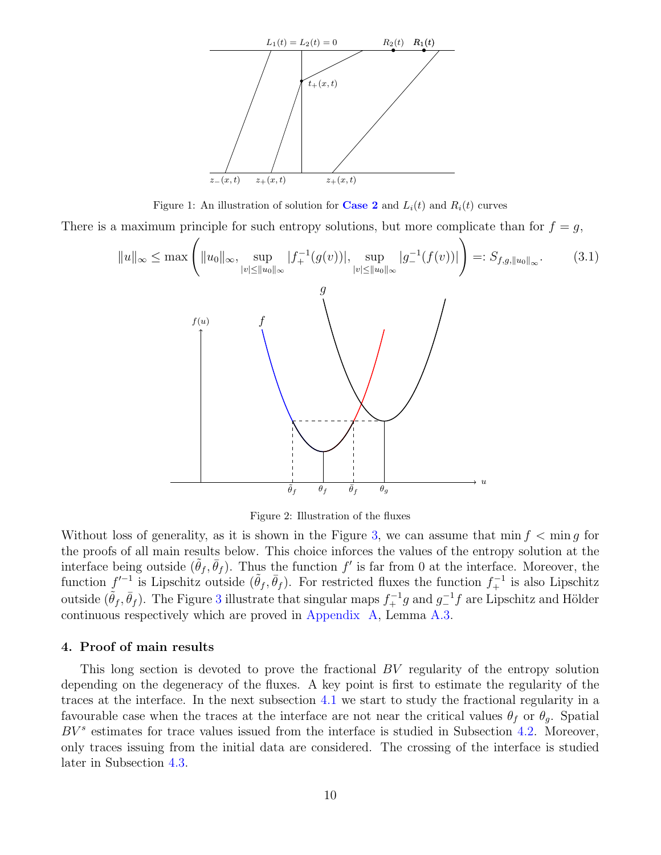

Figure 1: An illustration of solution for **[Case 2](#page-8-1)** and  $L_i(t)$  and  $R_i(t)$  curves

There is a maximum principle for such entropy solutions, but more complicate than for  $f = g$ ,

<span id="page-9-1"></span>
$$
||u||_{\infty} \leq \max\left(||u_0||_{\infty}, \sup_{|v| \leq ||u_0||_{\infty}} |f_+^{-1}(g(v))|, \sup_{|v| \leq ||u_0||_{\infty}} |g_-^{-1}(f(v))|\right) =: S_{f,g,||u_0||_{\infty}}.
$$
\n(3.1)

Figure 2: Illustration of the fluxes

Without loss of generality, as it is shown in the Figure [3,](#page-9-1) we can assume that  $\min f < \min g$  for the proofs of all main results below. This choice inforces the values of the entropy solution at the interface being outside  $(\tilde{\theta}_f, \bar{\theta}_f)$ . Thus the function f' is far from 0 at the interface. Moreover, the function  $f'^{-1}$  is Lipschitz outside  $(\tilde{\theta}_f, \bar{\theta}_f)$ . For restricted fluxes the function  $f_+^{-1}$  is also Lipschitz outside  $(\tilde{\theta}_f, \bar{\theta}_f)$ . The Figure [3](#page-9-1) illustrate that singular maps  $f_+^{-1}g$  and  $g_-^{-1}f$  are Lipschitz and Hölder continuous respectively which are proved in [Appendix A,](#page-23-0) Lemma [A.3.](#page-24-0)

#### <span id="page-9-0"></span>4. Proof of main results

This long section is devoted to prove the fractional BV regularity of the entropy solution depending on the degeneracy of the fluxes. A key point is first to estimate the regularity of the traces at the interface. In the next subsection [4.1](#page-10-0) we start to study the fractional regularity in a favourable case when the traces at the interface are not near the critical values  $\theta_f$  or  $\theta_g$ . Spatial  $BV^s$  estimates for trace values issued from the interface is studied in Subsection [4.2.](#page-11-0) Moreover, only traces issuing from the initial data are considered. The crossing of the interface is studied later in Subsection [4.3.](#page-13-0)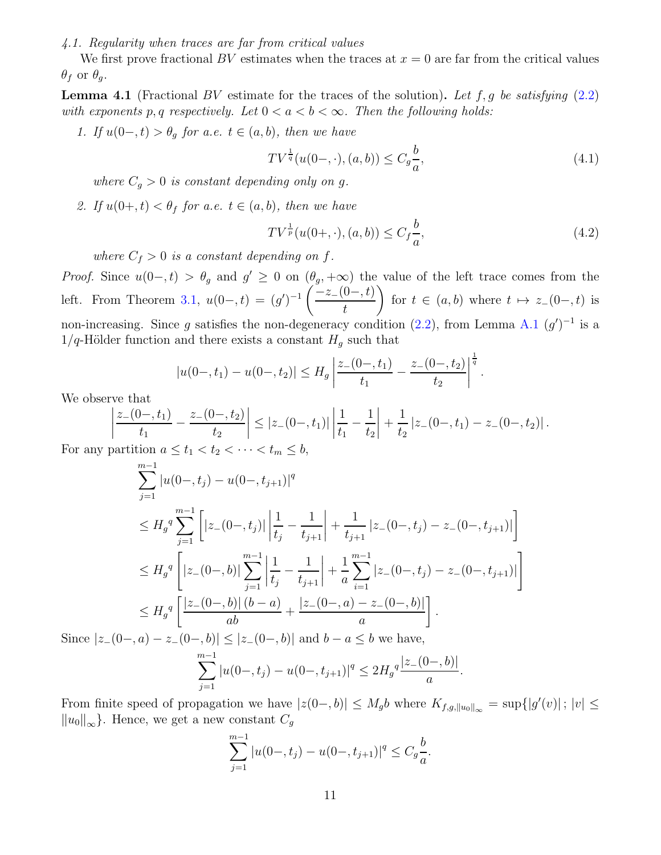<span id="page-10-0"></span>4.1. Regularity when traces are far from critical values

<span id="page-10-3"></span>We first prove fractional BV estimates when the traces at  $x = 0$  are far from the critical values  $\theta_f$  or  $\theta_g$ .

**Lemma 4.1** (Fractional BV estimate for the traces of the solution). Let f, g be satisfying  $(2.2)$ with exponents p, q respectively. Let  $0 < a < b < \infty$ . Then the following holds:

1. If  $u(0-,t) > \theta_q$  for a.e.  $t \in (a, b)$ , then we have

<span id="page-10-1"></span>
$$
TV^{\frac{1}{q}}(u(0-,\cdot),(a,b)) \le C_g \frac{b}{a},\tag{4.1}
$$

where  $C_q > 0$  is constant depending only on g.

2. If  $u(0+, t) < \theta_f$  for a.e.  $t \in (a, b)$ , then we have

<span id="page-10-2"></span>
$$
TV^{\frac{1}{p}}(u(0+,\cdot),(a,b)) \le C_f \frac{b}{a},\tag{4.2}
$$

where  $C_f > 0$  is a constant depending on f.

*Proof.* Since  $u(0-,t) > \theta_g$  and  $g' \geq 0$  on  $(\theta_g, +\infty)$  the value of the left trace comes from the left. From Theorem [3.1,](#page-8-1)  $u(0-,t) = (g')^{-1} \left( \frac{-z_-(0-,t)}{t} \right)$ t  $\setminus$ for  $t \in (a, b)$  where  $t \mapsto z_-(0-, t)$  is non-increasing. Since g satisfies the non-degeneracy condition  $(2.2)$ , from Lemma [A.1](#page-23-1)  $(g')^{-1}$  is a  $1/q$ -Hölder function and there exists a constant  $H_g$  such that

$$
|u(0-,t_1)-u(0-,t_2)| \leq H_g \left| \frac{z_-(0-,t_1)}{t_1} - \frac{z_-(0-,t_2)}{t_2} \right|^{\frac{1}{q}}.
$$

We observe that

$$
\left|\frac{z_{-}(0-,t_1)}{t_1} - \frac{z_{-}(0-,t_2)}{t_2}\right| \leq |z_{-}(0-,t_1)| \left|\frac{1}{t_1} - \frac{1}{t_2}\right| + \frac{1}{t_2} |z_{-}(0-,t_1) - z_{-}(0-,t_2)|.
$$

For any partition  $a \leq t_1 < t_2 < \cdots < t_m \leq b$ ,

$$
\sum_{j=1}^{m-1} |u(0-,t_j) - u(0-,t_{j+1})|^q
$$
\n
$$
\leq H_g^q \sum_{j=1}^{m-1} \left[ |z_-(0-,t_j)| \left| \frac{1}{t_j} - \frac{1}{t_{j+1}} \right| + \frac{1}{t_{j+1}} |z_-(0-,t_j) - z_-(0-,t_{j+1})| \right] \right]
$$
\n
$$
\leq H_g^q \left[ |z_-(0-,b)| \sum_{j=1}^{m-1} \left| \frac{1}{t_j} - \frac{1}{t_{j+1}} \right| + \frac{1}{a} \sum_{i=1}^{m-1} |z_-(0-,t_j) - z_-(0-,t_{j+1})| \right]
$$
\n
$$
\leq H_g^q \left[ \frac{|z_-(0-,b)| (b-a)}{ab} + \frac{|z_-(0-,a) - z_-(0-,b)|}{a} \right].
$$

Since  $|z_{-}(0-, a) - z_{-}(0-, b)| \le |z_{-}(0-, b)|$  and  $b - a \le b$  we have,

$$
\sum_{j=1}^{m-1} |u(0-,t_j) - u(0-,t_{j+1})|^q \le 2H_g^q \frac{|z_-(0-,b)|}{a}.
$$

From finite speed of propagation we have  $|z(0-, b)| \leq M_g b$  where  $K_{f,g, ||u_0||_{\infty}} = \sup\{|g'(v)|; |v| \leq$  $||u_0||_{\infty}$  }. Hence, we get a new constant  $C_g$ 

$$
\sum_{j=1}^{m-1} |u(0-,t_j) - u(0-,t_{j+1})|^q \le C_g \frac{b}{a}.
$$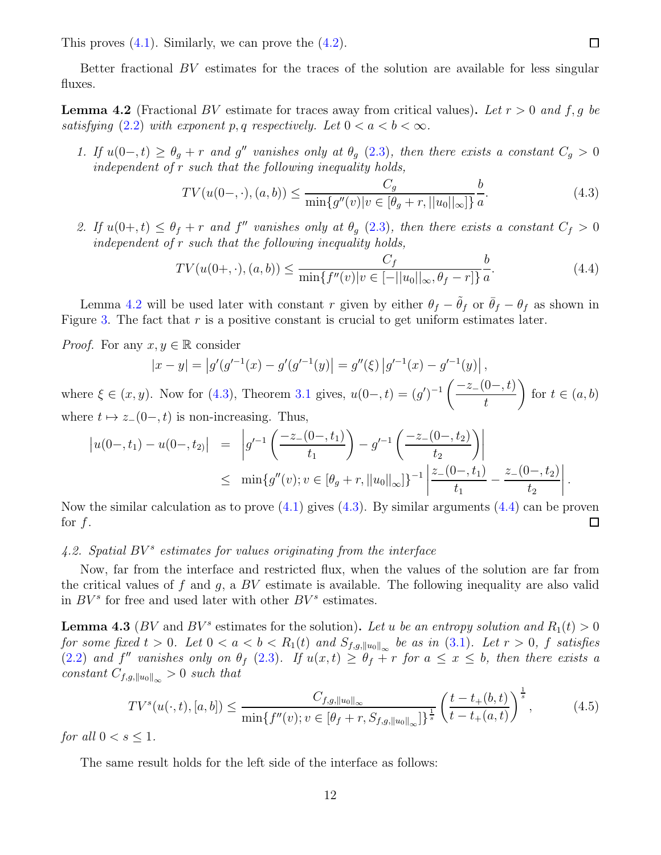This proves  $(4.1)$ . Similarly, we can prove the  $(4.2)$ .

<span id="page-11-1"></span>Better fractional BV estimates for the traces of the solution are available for less singular fluxes.

**Lemma 4.2** (Fractional BV estimate for traces away from critical values). Let  $r > 0$  and f, g be satisfying [\(2.2\)](#page-5-3) with exponent p, q respectively. Let  $0 < a < b < \infty$ .

1. If  $u(0-,t) \geq \theta_g + r$  and g'' vanishes only at  $\theta_g$  [\(2.3\)](#page-5-2), then there exists a constant  $C_g > 0$ independent of r such that the following inequality holds,

<span id="page-11-2"></span>
$$
TV(u(0-, \cdot), (a, b)) \le \frac{C_g}{\min\{g''(v)|v \in [\theta_g + r, ||u_0||_{\infty}]\}} \frac{b}{a}.
$$
\n(4.3)

2. If  $u(0+,t) \leq \theta_f + r$  and f'' vanishes only at  $\theta_g$  [\(2.3\)](#page-5-2), then there exists a constant  $C_f > 0$ independent of r such that the following inequality holds,

<span id="page-11-3"></span>
$$
TV(u(0+,\cdot),(a,b)) \le \frac{C_f}{\min\{f''(v)|v \in [-||u_0||_{\infty}, \theta_f - r]\}} \frac{b}{a}.\tag{4.4}
$$

Lemma [4.2](#page-11-1) will be used later with constant r given by either  $\theta_f - \bar{\theta}_f$  or  $\bar{\theta}_f - \theta_f$  as shown in Figure [3.](#page-9-1) The fact that  $r$  is a positive constant is crucial to get uniform estimates later.

*Proof.* For any  $x, y \in \mathbb{R}$  consider

$$
|x - y| = |g'(g'^{-1}(x) - g'(g'^{-1}(y))| = g''(\xi) |g'^{-1}(x) - g'^{-1}(y)|,
$$
  
where  $\xi \in (x, y)$ . Now for (4.3), Theorem 3.1 gives,  $u(0-, t) = (g')^{-1} \left( \frac{-z - (0-, t)}{t} \right)$  for  $t \in (a, b)$ .

 $(a, b)$ t  $\frac{1}{2}$ where  $t \mapsto z_-(0-, t)$  is non-increasing. Thus,

$$
\begin{array}{rcl}\n\left|u(0-,t_1)-u(0-,t_2)\right| & = & \left|g'^{-1}\left(\frac{-z_-(0-,t_1)}{t_1}\right)-g'^{-1}\left(\frac{-z_-(0-,t_2)}{t_2}\right)\right| \\
& \leq & \min\{g''(v);v\in[\theta_g+r,\|u_0\|_{\infty}]\}^{-1}\left|\frac{z_-(0-,t_1)}{t_1}-\frac{z_-(0-,t_2)}{t_2}\right|\n\end{array}.
$$

Now the similar calculation as to prove  $(4.1)$  gives  $(4.3)$ . By similar arguments  $(4.4)$  can be proven for  $f$ .  $\Box$ 

# <span id="page-11-0"></span> $4.2.$  Spatial  $BV^s$  estimates for values originating from the interface

Now, far from the interface and restricted flux, when the values of the solution are far from the critical values of f and g, a  $BV$  estimate is available. The following inequality are also valid in  $BV^s$  for free and used later with other  $BV^s$  estimates.

<span id="page-11-4"></span>**Lemma 4.3** (BV and  $BV^s$  estimates for the solution). Let u be an entropy solution and  $R_1(t) > 0$ for some fixed  $t > 0$ . Let  $0 < a < b < R_1(t)$  and  $S_{f,g,\|u_0\|_{\infty}}$  be as in  $(3.1)$ . Let  $r > 0$ , f satisfies [\(2.2\)](#page-5-3) and f'' vanishes only on  $\theta_f$  [\(2.3\)](#page-5-2). If  $u(x,t) \geq \theta_f + r$  for  $a \leq x \leq b$ , then there exists a constant  $C_{f,g,\|u_0\|_{\infty}}>0$  such that

<span id="page-11-5"></span>
$$
TV^{s}(u(\cdot,t), [a,b]) \le \frac{C_{f,g,\|u_0\|_{\infty}}}{\min\{f''(v); v \in [\theta_f + r, S_{f,g,\|u_0\|_{\infty}}]\}^{\frac{1}{s}}}\left(\frac{t - t_{+}(b,t)}{t - t_{+}(a,t)}\right)^{\frac{1}{s}},\tag{4.5}
$$

for all  $0 < s \leq 1$ .

The same result holds for the left side of the interface as follows: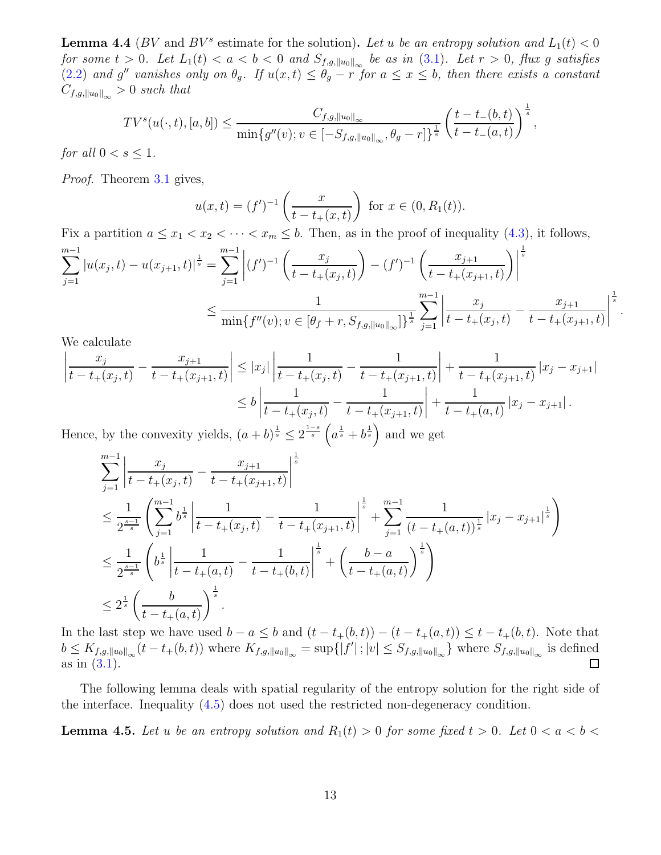**Lemma 4.4** (BV and  $BV^s$  estimate for the solution). Let u be an entropy solution and  $L_1(t) < 0$ for some  $t > 0$ . Let  $L_1(t) < a < b < 0$  and  $S_{f,g,\|u_0\|_{\infty}}$  be as in [\(3.1\)](#page-9-1). Let  $r > 0$ , flux  $g$  satisfies [\(2.2\)](#page-5-3) and g'' vanishes only on  $\theta_g$ . If  $u(x,t) \leq \theta_g - r$  for  $a \leq x \leq b$ , then there exists a constant  $C_{f,g,\|u_0\|_{\infty}}>0$  such that

$$
TV^{s}(u(\cdot,t), [a,b]) \le \frac{C_{f,g,\|u_0\|_{\infty}}}{\min\{g''(v); v \in [-S_{f,g,\|u_0\|_{\infty}}, \theta_g - r]\}^{\frac{1}{s}}} \left(\frac{t - t_{-}(b,t)}{t - t_{-}(a,t)}\right)^{\frac{1}{s}},
$$

for all  $0 < s \leq 1$ .

Proof. Theorem [3.1](#page-8-1) gives,

$$
u(x,t) = (f')^{-1} \left( \frac{x}{t - t_+(x,t)} \right) \text{ for } x \in (0, R_1(t)).
$$

Fix a partition  $a \leq x_1 < x_2 < \cdots < x_m \leq b$ . Then, as in the proof of inequality [\(4.3\)](#page-11-2), it follows,

$$
\sum_{j=1}^{m-1} |u(x_j, t) - u(x_{j+1}, t)|^{\frac{1}{s}} = \sum_{j=1}^{m-1} \left| (f')^{-1} \left( \frac{x_j}{t - t_+(x_j, t)} \right) - (f')^{-1} \left( \frac{x_{j+1}}{t - t_+(x_{j+1}, t)} \right) \right|^{\frac{1}{s}}
$$
  

$$
\leq \frac{1}{\min\{f''(v); v \in [\theta_f + r, S_{f,g, ||u_0||_\infty}]\}^{\frac{1}{s}}} \sum_{j=1}^{m-1} \left| \frac{x_j}{t - t_+(x_j, t)} - \frac{x_{j+1}}{t - t_+(x_{j+1}, t)} \right|^{\frac{1}{s}}
$$

.

We calculate

$$
\left| \frac{x_j}{t - t_+(x_j, t)} - \frac{x_{j+1}}{t - t_+(x_{j+1}, t)} \right| \leq |x_j| \left| \frac{1}{t - t_+(x_j, t)} - \frac{1}{t - t_+(x_{j+1}, t)} \right| + \frac{1}{t - t_+(x_{j+1}, t)} |x_j - x_{j+1}|
$$
  

$$
\leq b \left| \frac{1}{t - t_+(x_j, t)} - \frac{1}{t - t_+(x_{j+1}, t)} \right| + \frac{1}{t - t_+(a, t)} |x_j - x_{j+1}|.
$$

Hence, by the convexity yields,  $(a + b)^{\frac{1}{s}} \leq 2^{\frac{1-s}{s}} \left( a^{\frac{1}{s}} + b^{\frac{1}{s}} \right)$  and we get

$$
\sum_{j=1}^{m-1} \left| \frac{x_j}{t - t_+(x_j, t)} - \frac{x_{j+1}}{t - t_+(x_{j+1}, t)} \right|^{\frac{1}{s}} \n\leq \frac{1}{2^{\frac{s-1}{s}}} \left( \sum_{j=1}^{m-1} b^{\frac{1}{s}} \left| \frac{1}{t - t_+(x_j, t)} - \frac{1}{t - t_+(x_{j+1}, t)} \right|^{\frac{1}{s}} + \sum_{j=1}^{m-1} \frac{1}{(t - t_+(a, t))^{\frac{1}{s}}} |x_j - x_{j+1}|^{\frac{1}{s}} \right) \n\leq \frac{1}{2^{\frac{s-1}{s}}} \left( b^{\frac{1}{s}} \left| \frac{1}{t - t_+(a, t)} - \frac{1}{t - t_+(b, t)} \right|^{\frac{1}{s}} + \left( \frac{b - a}{t - t_+(a, t)} \right)^{\frac{1}{s}} \right) \n\leq 2^{\frac{1}{s}} \left( \frac{b}{t - t_+(a, t)} \right)^{\frac{1}{s}}.
$$

In the last step we have used  $b - a \leq b$  and  $(t - t_+(b, t)) - (t - t_+(a, t)) \leq t - t_+(b, t)$ . Note that  $b \leq K_{f,g,\|u_0\|_{\infty}}(t-t_+(b,t))$  where  $K_{f,g,\|u_0\|_{\infty}} = \sup\{|f'|;|v| \leq S_{f,g,\|u_0\|_{\infty}}\}$  where  $S_{f,g,\|u_0\|_{\infty}}$  is defined as in [\(3.1\)](#page-9-1).  $\Box$ 

<span id="page-12-0"></span>The following lemma deals with spatial regularity of the entropy solution for the right side of the interface. Inequality [\(4.5\)](#page-12-0) does not used the restricted non-degeneracy condition.

**Lemma 4.5.** Let u be an entropy solution and  $R_1(t) > 0$  for some fixed  $t > 0$ . Let  $0 < a < b <$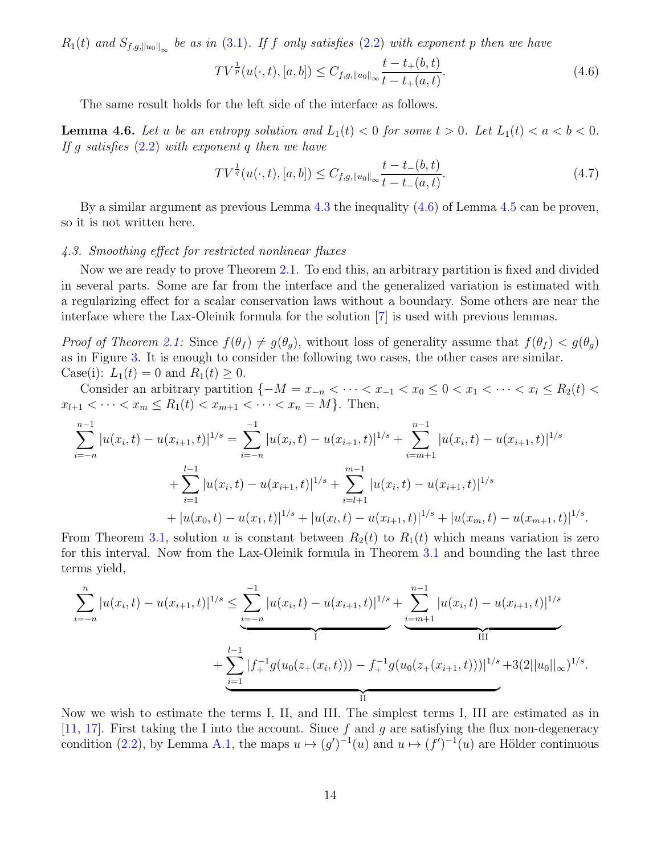$R_1(t)$  and  $S_{f,g,\|u_0\|_{\infty}}$  be as in [\(3.1\)](#page-9-1). If f only satisfies [\(2.2\)](#page-5-3) with exponent p then we have

<span id="page-13-1"></span>
$$
TV^{\frac{1}{p}}(u(\cdot,t),[a,b]) \leq C_{f,g,\|u_0\|_{\infty}} \frac{t - t_+(b,t)}{t - t_+(a,t)}.\tag{4.6}
$$

<span id="page-13-3"></span>The same result holds for the left side of the interface as follows.

**Lemma 4.6.** Let u be an entropy solution and  $L_1(t) < 0$  for some  $t > 0$ . Let  $L_1(t) < a < b < 0$ . If g satisfies  $(2.2)$  with exponent q then we have

<span id="page-13-2"></span>
$$
TV^{\frac{1}{q}}(u(\cdot,t),[a,b]) \leq C_{f,g,\|u_0\|_{\infty}} \frac{t-t_-(b,t)}{t-t_-(a,t)}.\tag{4.7}
$$

By a similar argument as previous Lemma [4.3](#page-11-4) the inequality [\(4.6\)](#page-13-1) of Lemma [4.5](#page-12-0) can be proven, so it is not written here.

### <span id="page-13-0"></span>4.3. Smoothing effect for restricted nonlinear fluxes

Now we are ready to prove Theorem [2.1.](#page-5-4) To end this, an arbitrary partition is fixed and divided in several parts. Some are far from the interface and the generalized variation is estimated with a regularizing effect for a scalar conservation laws without a boundary. Some others are near the interface where the Lax-Oleinik formula for the solution [\[7](#page-28-0)] is used with previous lemmas.

*Proof of Theorem [2.1:](#page-5-4)* Since  $f(\theta_f) \neq g(\theta_q)$ , without loss of generality assume that  $f(\theta_f) < g(\theta_q)$ as in Figure [3.](#page-9-1) It is enough to consider the following two cases, the other cases are similar. Case(i):  $L_1(t) = 0$  and  $R_1(t) \ge 0$ .

Consider an arbitrary partition  $\{-M = x_{-n} < \cdots < x_{-1} < x_0 \leq 0 < x_1 < \cdots < x_l \leq R_2(t) <$  $x_{l+1} < \cdots < x_m \le R_1(t) < x_{m+1} < \cdots < x_n = M$ . Then,

$$
\sum_{i=-n}^{n-1} |u(x_i, t) - u(x_{i+1}, t)|^{1/s} = \sum_{i=-n}^{-1} |u(x_i, t) - u(x_{i+1}, t)|^{1/s} + \sum_{i=m+1}^{n-1} |u(x_i, t) - u(x_{i+1}, t)|^{1/s} \n+ \sum_{i=1}^{l-1} |u(x_i, t) - u(x_{i+1}, t)|^{1/s} + \sum_{i=l+1}^{m-1} |u(x_i, t) - u(x_{i+1}, t)|^{1/s} \n+ |u(x_0, t) - u(x_1, t)|^{1/s} + |u(x_l, t) - u(x_{l+1}, t)|^{1/s} + |u(x_m, t) - u(x_{m+1}, t)|^{1/s}.
$$

From Theorem [3.1,](#page-8-1) solution u is constant between  $R_2(t)$  to  $R_1(t)$  which means variation is zero for this interval. Now from the Lax-Oleinik formula in Theorem [3.1](#page-8-1) and bounding the last three terms yield,

$$
\sum_{i=-n}^{n} |u(x_i, t) - u(x_{i+1}, t)|^{1/s} \le \underbrace{\sum_{i=-n}^{-1} |u(x_i, t) - u(x_{i+1}, t)|^{1/s}}_{\text{I}} + \underbrace{\sum_{i=1}^{n-1} |f_+^{-1}g(u_0(z_+(x_i, t))) - f_+^{-1}g(u_0(z_+(x_{i+1}, t)))|^{1/s}}_{\text{II}} + 3(2||u_0||_{\infty})^{1/s}
$$

.

Now we wish to estimate the terms I, II, and III. The simplest terms I, III are estimated as in [\[11,](#page-28-8) [17\]](#page-29-6). First taking the I into the account. Since f and g are satisfying the flux non-degeneracy condition [\(2.2\)](#page-5-3), by Lemma [A.1,](#page-23-1) the maps  $u \mapsto (g')^{-1}(u)$  and  $u \mapsto (f')^{-1}(u)$  are Hölder continuous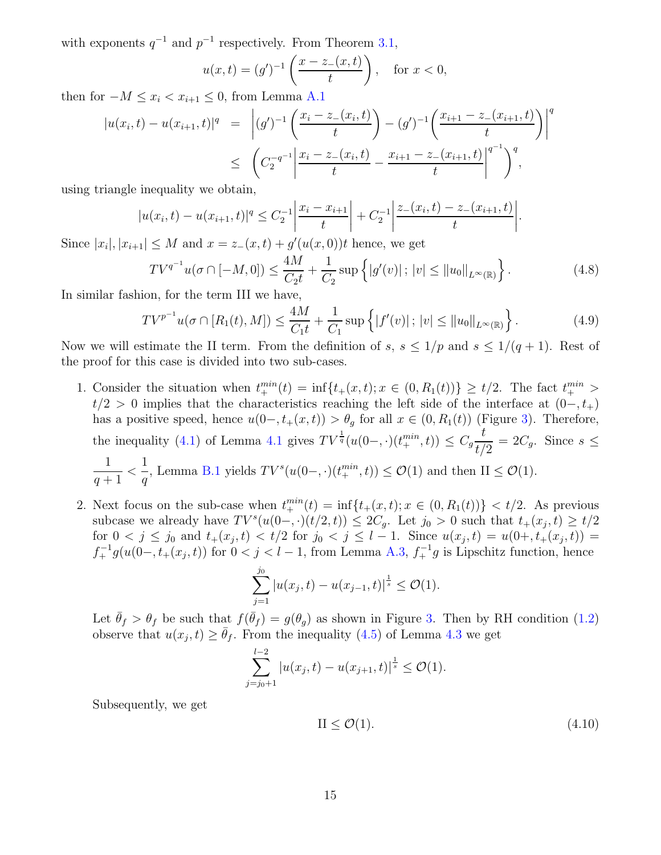with exponents  $q^{-1}$  and  $p^{-1}$  respectively. From Theorem [3.1,](#page-8-1)

$$
u(x,t) = (g')^{-1} \left( \frac{x - z_-(x,t)}{t} \right), \quad \text{for } x < 0,
$$

then for  $-M \leq x_i < x_{i+1} \leq 0$ , from Lemma [A.1](#page-23-1)

$$
|u(x_i, t) - u(x_{i+1}, t)|^q = \left| (g')^{-1} \left( \frac{x_i - z_-(x_i, t)}{t} \right) - (g')^{-1} \left( \frac{x_{i+1} - z_-(x_{i+1}, t)}{t} \right) \right|^q
$$
  
 
$$
\leq \left( C_2^{-q^{-1}} \left| \frac{x_i - z_-(x_i, t)}{t} - \frac{x_{i+1} - z_-(x_{i+1}, t)}{t} \right|^{q^{-1}} \right)^q,
$$

using triangle inequality we obtain,

$$
|u(x_i,t) - u(x_{i+1},t)|^q \leq C_2^{-1} \left| \frac{x_i - x_{i+1}}{t} \right| + C_2^{-1} \left| \frac{z_-(x_i,t) - z_-(x_{i+1},t)}{t} \right|.
$$

Since  $|x_i|, |x_{i+1}| \leq M$  and  $x = z_-(x,t) + g'(u(x,0))t$  hence, we get

<span id="page-14-0"></span>
$$
TV^{q^{-1}}u(\sigma \cap [-M,0]) \le \frac{4M}{C_2t} + \frac{1}{C_2} \sup \left\{ |g'(v)| \, ; \, |v| \le ||u_0||_{L^{\infty}(\mathbb{R})} \right\}.
$$
 (4.8)

In similar fashion, for the term III we have,

<span id="page-14-1"></span>
$$
TV^{p^{-1}}u(\sigma \cap [R_1(t), M]) \le \frac{4M}{C_1t} + \frac{1}{C_1} \sup \left\{ |f'(v)| \, ; \, |v| \le ||u_0||_{L^{\infty}(\mathbb{R})} \right\}.
$$
 (4.9)

Now we will estimate the II term. From the definition of s,  $s \leq 1/p$  and  $s \leq 1/(q+1)$ . Rest of the proof for this case is divided into two sub-cases.

- 1. Consider the situation when  $t_{+}^{min}(t) = \inf\{t_{+}(x,t); x \in (0, R_{1}(t))\} \geq t/2$ . The fact  $t_{+}^{min} >$  $t/2 > 0$  implies that the characteristics reaching the left side of the interface at  $(0-, t_+)$ has a positive speed, hence  $u(0-, t_+(x, t)) > \theta_g$  for all  $x \in (0, R_1(t))$  (Figure [3\)](#page-9-1). Therefore, the inequality [\(4.1\)](#page-10-1) of Lemma [4.1](#page-10-3) gives  $TV^{\frac{1}{q}}(u(0-,\cdot)(t^{min}_+,\cdot)) \leq C_g$ t  $\frac{c}{t/2} = 2C_g$ . Since  $s \leq$ 1  $q+1$  $\lt$ 1 q , Lemma [B.1](#page-26-2) yields  $TV^s(u(0-, \cdot)(t_+^{min}, t)) \leq \mathcal{O}(1)$  and then  $II \leq \mathcal{O}(1)$ .
- 2. Next focus on the sub-case when  $t_{+}^{min}(t) = \inf\{t_{+}(x,t); x \in (0, R_{1}(t))\} < t/2$ . As previous subcase we already have  $TV^s(u(0-,\cdot)(t/2,t)) \leq 2C_g$ . Let  $j_0 > 0$  such that  $t_+(x_j,t) \geq t/2$ for  $0 < j \leq j_0$  and  $t_+(x_j,t) < t/2$  for  $j_0 < j \leq l-1$ . Since  $u(x_j,t) = u(0+, t_+(x_j,t)) =$  $f_{+}^{-1}g(u(0-, t_{+}(x_j, t))$  for  $0 < j < l-1$ , from Lemma [A.3,](#page-24-0)  $f_{+}^{-1}g$  is Lipschitz function, hence

$$
\sum_{j=1}^{j_0} |u(x_j, t) - u(x_{j-1}, t)|^{\frac{1}{s}} \le \mathcal{O}(1).
$$

Let  $\bar{\theta}_f > \theta_f$  be such that  $f(\bar{\theta}_f) = g(\theta_g)$  as shown in Figure [3.](#page-9-1) Then by RH condition [\(1.2\)](#page-1-2) observe that  $u(x_j, t) \ge \bar{\theta}_f$ . From the inequality [\(4.5\)](#page-11-5) of Lemma [4.3](#page-11-4) we get

$$
\sum_{j=j_0+1}^{l-2} |u(x_j, t) - u(x_{j+1}, t)|^{\frac{1}{s}} \le \mathcal{O}(1).
$$

Subsequently, we get

<span id="page-14-2"></span>
$$
II \leq \mathcal{O}(1). \tag{4.10}
$$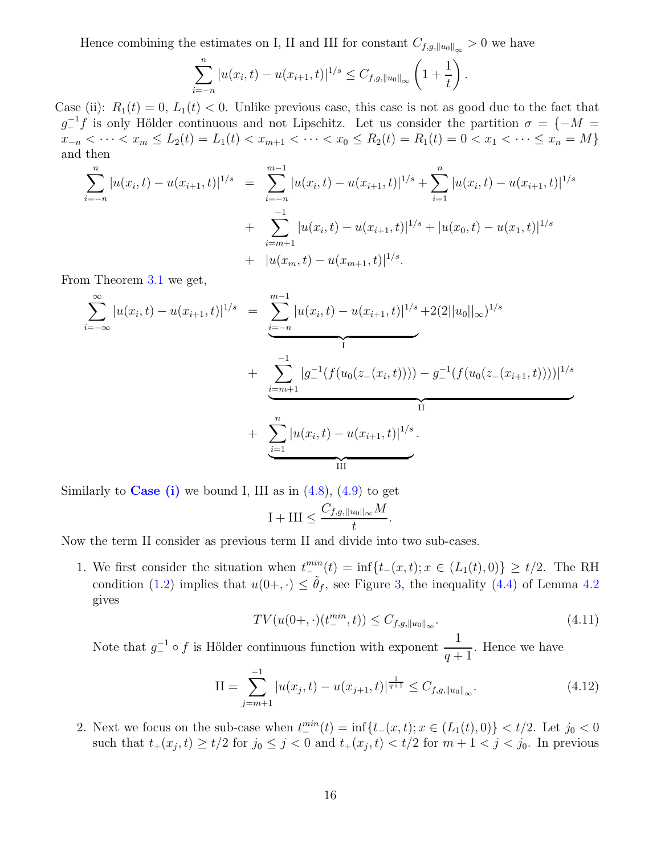Hence combining the estimates on I, II and III for constant  $C_{f,g,\|u_0\|_{\infty}} > 0$  we have

$$
\sum_{i=-n}^{n} |u(x_i, t) - u(x_{i+1}, t)|^{1/s} \leq C_{f,g, ||u_0||_{\infty}} \left(1 + \frac{1}{t}\right).
$$

Case (ii):  $R_1(t) = 0, L_1(t) < 0$ . Unlike previous case, this case is not as good due to the fact that  $g_{-}^{-1}f$  is only Hölder continuous and not Lipschitz. Let us consider the partition  $\sigma = \{-M =$  $x_{-n} < \cdots < x_m \le L_2(t) = L_1(t) < x_{m+1} < \cdots < x_0 \le R_2(t) = R_1(t) = 0 < x_1 < \cdots \le x_n = M\}$ and then

$$
\sum_{i=-n}^{n} |u(x_i, t) - u(x_{i+1}, t)|^{1/s} = \sum_{i=-n}^{m-1} |u(x_i, t) - u(x_{i+1}, t)|^{1/s} + \sum_{i=1}^{n} |u(x_i, t) - u(x_{i+1}, t)|^{1/s} + \sum_{i=m+1}^{-1} |u(x_i, t) - u(x_{i+1}, t)|^{1/s} + |u(x_0, t) - u(x_1, t)|^{1/s} + |u(x_m, t) - u(x_{m+1}, t)|^{1/s}.
$$

From Theorem [3.1](#page-8-1) we get,

$$
\sum_{i=-\infty}^{\infty} |u(x_i, t) - u(x_{i+1}, t)|^{1/s} = \underbrace{\sum_{i=-n}^{m-1} |u(x_i, t) - u(x_{i+1}, t)|^{1/s}}_{\text{T}} + \underbrace{\sum_{i=m+1}^{-1} |g_{i}^{-1}(f(u_0(z_{i-}(x_i, t)))) - g_{i}^{-1}(f(u_0(z_{i-}(x_{i+1}, t))))|^{1/s}}_{\text{II}} + \underbrace{\sum_{i=1}^{n} |u(x_i, t) - u(x_{i+1}, t)|^{1/s}}_{\text{III}}.
$$

Similarly to **Case** (i) we bound I, III as in  $(4.8)$ ,  $(4.9)$  to get

$$
I + III \leq \frac{C_{f,g,||u_0||_{\infty}}M}{t}.
$$

Now the term II consider as previous term II and divide into two sub-cases.

1. We first consider the situation when  $t^{min}_{-}(t) = \inf\{t_{-}(x,t); x \in (L_1(t),0)\} \ge t/2$ . The RH condition [\(1.2\)](#page-1-2) implies that  $u(0+,\cdot) \leq \tilde{\theta}_f$ , see Figure [3,](#page-9-1) the inequality [\(4.4\)](#page-11-3) of Lemma [4.2](#page-11-1) gives

$$
TV(u(0+,\cdot)(t^{min}_{-},t)) \leq C_{f,g,\|u_0\|_{\infty}}.\tag{4.11}
$$

Note that  $g^{-1} \circ f$  is Hölder continuous function with exponent  $\frac{1}{q+1}$ . Hence we have

$$
II = \sum_{j=m+1}^{-1} |u(x_j, t) - u(x_{j+1}, t)|^{\frac{1}{q+1}} \le C_{f,g, \|u_0\|_{\infty}}.
$$
\n(4.12)

2. Next we focus on the sub-case when  $t^{min}_-(t) = \inf\{t-(x,t); x \in (L_1(t),0)\} < t/2$ . Let  $j_0 < 0$ such that  $t_+(x_j,t) \geq t/2$  for  $j_0 \leq j < 0$  and  $t_+(x_j,t) < t/2$  for  $m+1 < j < j_0$ . In previous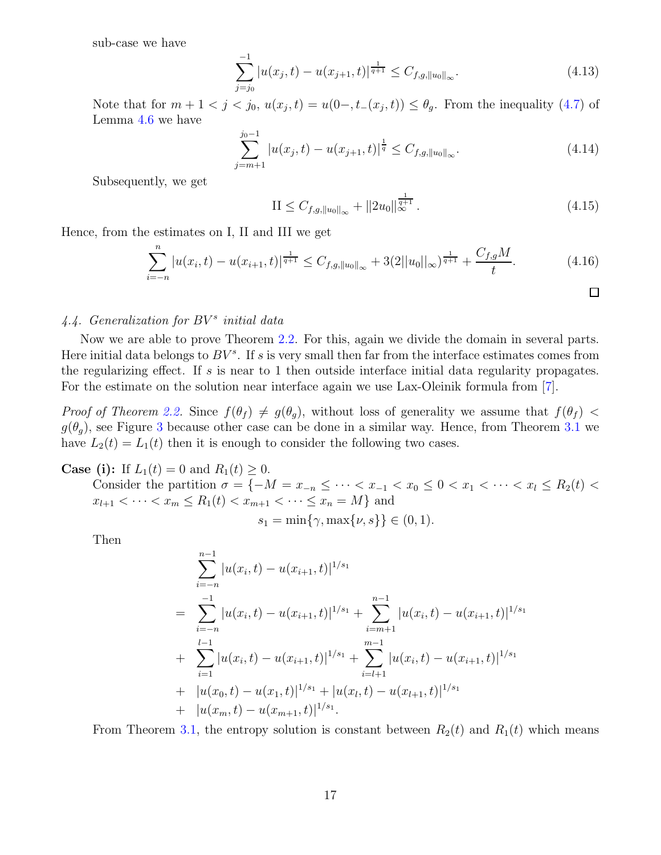sub-case we have

$$
\sum_{j=j_0}^{-1} |u(x_j, t) - u(x_{j+1}, t)|^{\frac{1}{q+1}} \le C_{f,g, \|u_0\|_{\infty}}.
$$
\n(4.13)

Note that for  $m + 1 < j < j_0$ ,  $u(x_j, t) = u(0, t-(x_j, t)) \leq \theta_g$ . From the inequality [\(4.7\)](#page-13-2) of Lemma [4.6](#page-13-3) we have

$$
\sum_{j=m+1}^{j_0-1} |u(x_j, t) - u(x_{j+1}, t)|^{\frac{1}{q}} \le C_{f,g, \|u_0\|_{\infty}}.
$$
\n(4.14)

Subsequently, we get

<span id="page-16-1"></span>
$$
\text{II} \le C_{f,g, \|u_0\|_{\infty}} + \|2u_0\|_{\infty}^{\frac{1}{q+1}}.
$$
\n(4.15)

Hence, from the estimates on I, II and III we get

<span id="page-16-2"></span>
$$
\sum_{i=-n}^{n} |u(x_i, t) - u(x_{i+1}, t)|^{\frac{1}{q+1}} \le C_{f,g, \|u_0\|_{\infty}} + 3(2||u_0||_{\infty})^{\frac{1}{q+1}} + \frac{C_{f,g}M}{t}.
$$
\n(4.16)

# <span id="page-16-0"></span>4.4. Generalization for  $BV^s$  initial data

Now we are able to prove Theorem [2.2.](#page-6-0) For this, again we divide the domain in several parts. Here initial data belongs to  $BV^s$ . If s is very small then far from the interface estimates comes from the regularizing effect. If s is near to 1 then outside interface initial data regularity propagates. For the estimate on the solution near interface again we use Lax-Oleinik formula from [\[7](#page-28-0)].

*Proof of Theorem [2.2.](#page-6-0)* Since  $f(\theta_f) \neq g(\theta_g)$ , without loss of generality we assume that  $f(\theta_f)$  <  $g(\theta_q)$ , see Figure [3](#page-9-1) because other case can be done in a similar way. Hence, from Theorem [3.1](#page-8-1) we have  $L_2(t) = L_1(t)$  then it is enough to consider the following two cases.

**Case (i):** If  $L_1(t) = 0$  and  $R_1(t) \ge 0$ .

Consider the partition  $\sigma = \{-M = x_{-n} \leq \cdots < x_{-1} < x_0 \leq 0 < x_1 < \cdots < x_l \leq R_2(t)$  $x_{l+1} < \cdots < x_m \le R_1(t) < x_{m+1} < \cdots \le x_n = M$  and

$$
s_1 = \min\{\gamma, \max\{\nu, s\}\} \in (0, 1).
$$

Then

$$
\sum_{i=-n}^{n-1} |u(x_i, t) - u(x_{i+1}, t)|^{1/s_1}
$$
\n
$$
= \sum_{i=-n}^{-1} |u(x_i, t) - u(x_{i+1}, t)|^{1/s_1} + \sum_{i=m+1}^{n-1} |u(x_i, t) - u(x_{i+1}, t)|^{1/s_1}
$$
\n
$$
+ \sum_{i=1}^{l-1} |u(x_i, t) - u(x_{i+1}, t)|^{1/s_1} + \sum_{i=l+1}^{m-1} |u(x_i, t) - u(x_{i+1}, t)|^{1/s_1}
$$
\n
$$
+ |u(x_0, t) - u(x_1, t)|^{1/s_1} + |u(x_l, t) - u(x_{l+1}, t)|^{1/s_1}
$$
\n
$$
+ |u(x_m, t) - u(x_{m+1}, t)|^{1/s_1}.
$$

From Theorem [3.1,](#page-8-1) the entropy solution is constant between  $R_2(t)$  and  $R_1(t)$  which means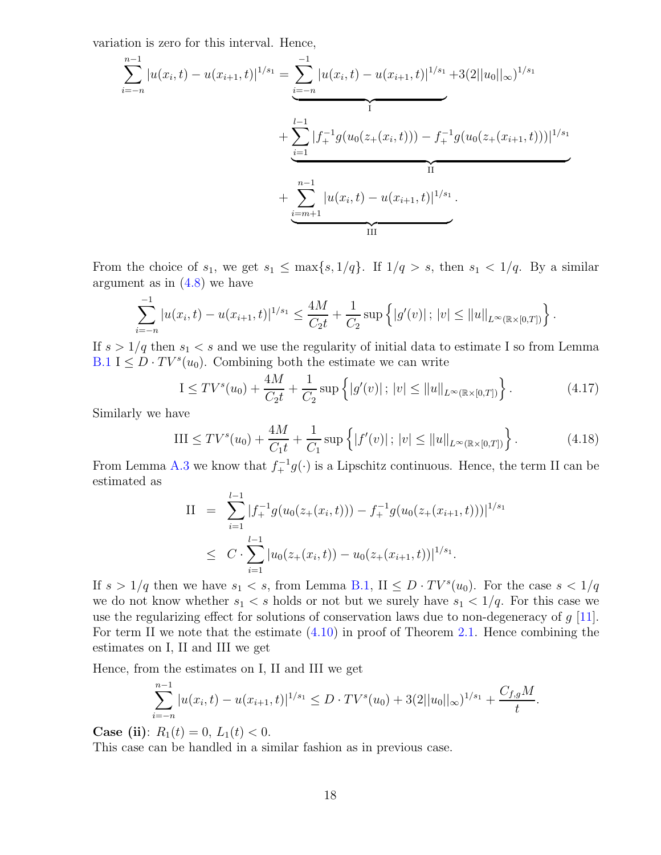variation is zero for this interval. Hence,

$$
\sum_{i=-n}^{n-1} |u(x_i, t) - u(x_{i+1}, t)|^{1/s_1} = \underbrace{\sum_{i=-n}^{-1} |u(x_i, t) - u(x_{i+1}, t)|^{1/s_1}}_{1} + \underbrace{\sum_{i=1}^{l-1} |f_+^{-1}g(u_0(z_+(x_i, t))) - f_+^{-1}g(u_0(z_+(x_{i+1}, t)))|^{1/s_1}}_{\text{II}} + \underbrace{\sum_{i=m+1}^{n-1} |u(x_i, t) - u(x_{i+1}, t)|^{1/s_1}}_{\text{III}}.
$$

From the choice of  $s_1$ , we get  $s_1 \leq \max\{s, 1/q\}$ . If  $1/q > s$ , then  $s_1 < 1/q$ . By a similar argument as in  $(4.8)$  we have

$$
\sum_{i=-n}^{-1} |u(x_i,t) - u(x_{i+1},t)|^{1/s_1} \le \frac{4M}{C_2t} + \frac{1}{C_2} \sup \left\{|g'(v)|\,;\, |v| \le ||u||_{L^{\infty}(\mathbb{R}\times[0,T])}\right\}.
$$

If  $s > 1/q$  then  $s_1 < s$  and we use the regularity of initial data to estimate I so from Lemma [B.1](#page-26-2)  $I \leq D \cdot TV^{s}(u_0)$ . Combining both the estimate we can write

$$
I \leq TV^s(u_0) + \frac{4M}{C_2t} + \frac{1}{C_2} \sup \left\{ |g'(v)| \, ; \, |v| \leq ||u||_{L^{\infty}(\mathbb{R} \times [0,T])} \right\}.
$$
 (4.17)

Similarly we have

$$
III \leq TV^s(u_0) + \frac{4M}{C_1t} + \frac{1}{C_1} \sup \left\{ |f'(v)| \, ; \, |v| \leq ||u||_{L^{\infty}(\mathbb{R} \times [0,T])} \right\}.
$$
 (4.18)

From Lemma [A.3](#page-24-0) we know that  $f_{+}^{-1}g(\cdot)$  is a Lipschitz continuous. Hence, the term II can be estimated as l−1

II = 
$$
\sum_{i=1}^{l-1} |f_{+}^{-1}g(u_{0}(z_{+}(x_{i},t))) - f_{+}^{-1}g(u_{0}(z_{+}(x_{i+1},t)))|^{1/s_{1}}
$$
  
\n
$$
\leq C \cdot \sum_{i=1}^{l-1} |u_{0}(z_{+}(x_{i},t)) - u_{0}(z_{+}(x_{i+1},t))|^{1/s_{1}}.
$$

If  $s > 1/q$  then we have  $s_1 < s$ , from Lemma [B.1,](#page-26-2) II  $\leq D \cdot TV^s(u_0)$ . For the case  $s < 1/q$ we do not know whether  $s_1 < s$  holds or not but we surely have  $s_1 < 1/q$ . For this case we use the regularizing effect for solutions of conservation laws due to non-degeneracy of  $g$  [\[11\]](#page-28-8). For term II we note that the estimate  $(4.10)$  in proof of Theorem [2.1.](#page-5-4) Hence combining the estimates on I, II and III we get

Hence, from the estimates on I, II and III we get

$$
\sum_{i=-n}^{n-1} |u(x_i, t) - u(x_{i+1}, t)|^{1/s_1} \le D \cdot TV^s(u_0) + 3(2||u_0||_{\infty})^{1/s_1} + \frac{C_{f,g}M}{t}.
$$

**Case (ii)**:  $R_1(t) = 0, L_1(t) < 0.$ 

This case can be handled in a similar fashion as in previous case.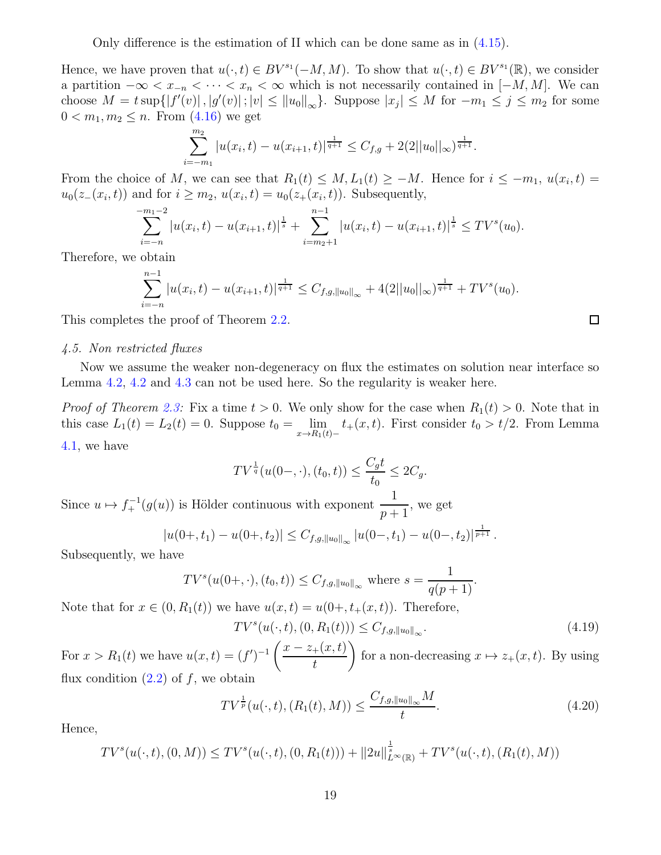Only difference is the estimation of II which can be done same as in  $(4.15)$ .

Hence, we have proven that  $u(\cdot, t) \in BV^{s_1}(-M, M)$ . To show that  $u(\cdot, t) \in BV^{s_1}(\mathbb{R})$ , we consider a partition  $-\infty < x_{-n} < \cdots < x_n < \infty$  which is not necessarily contained in  $[-M, M]$ . We can choose  $M = t \sup\{|f'(v)|, |g'(v)|; |v| \leq ||u_0||_{\infty}\}$ . Suppose  $|x_j| \leq M$  for  $-m_1 \leq j \leq m_2$  for some  $0 < m_1, m_2 \leq n$ . From  $(4.16)$  we get

$$
\sum_{i=-m_1}^{m_2} |u(x_i,t) - u(x_{i+1},t)|^{\frac{1}{q+1}} \leq C_{f,g} + 2(2||u_0||_{\infty})^{\frac{1}{q+1}}.
$$

From the choice of M, we can see that  $R_1(t) \leq M$ ,  $L_1(t) \geq -M$ . Hence for  $i \leq -m_1$ ,  $u(x_i, t) =$  $u_0(z_-(x_i,t))$  and for  $i \geq m_2$ ,  $u(x_i,t) = u_0(z_+(x_i,t))$ . Subsequently,

$$
\sum_{i=-n}^{-m_1-2} |u(x_i,t) - u(x_{i+1},t)|^{\frac{1}{s}} + \sum_{i=m_2+1}^{n-1} |u(x_i,t) - u(x_{i+1},t)|^{\frac{1}{s}} \leq TV^s(u_0).
$$

Therefore, we obtain

$$
\sum_{i=-n}^{n-1} |u(x_i,t) - u(x_{i+1},t)|^{\frac{1}{q+1}} \leq C_{f,g,\|u_0\|_{\infty}} + 4(2||u_0||_{\infty})^{\frac{1}{q+1}} + TV^s(u_0).
$$

<span id="page-18-0"></span>This completes the proof of Theorem [2.2.](#page-6-0)

### 4.5. Non restricted fluxes

Now we assume the weaker non-degeneracy on flux the estimates on solution near interface so Lemma [4.2,](#page-11-1) [4.2](#page-11-0) and [4.3](#page-11-4) can not be used here. So the regularity is weaker here.

*Proof of Theorem [2.3:](#page-6-1)* Fix a time  $t > 0$ . We only show for the case when  $R_1(t) > 0$ . Note that in this case  $L_1(t) = L_2(t) = 0$ . Suppose  $t_0 = \lim_{x \to R_1(t)-} t_+(x,t)$ . First consider  $t_0 > t/2$ . From Lemma [4.1,](#page-10-3) we h

$$
4.1, we have
$$

$$
TV^{\frac{1}{q}}(u(0-,\cdot),(t_0,t)) \le \frac{C_g t}{t_0} \le 2C_g.
$$

Since  $u \mapsto f_+^{-1}(g(u))$  is Hölder continuous with exponent  $\frac{1}{p+1}$ , we get

$$
|u(0+,t_1)-u(0+,t_2)|\leq C_{f,g,\|u_0\|_{\infty}}|u(0-,t_1)-u(0-,t_2)|^{\frac{1}{p+1}}.
$$

Subsequently, we have

$$
TV^s(u(0+,\cdot),(t_0,t)) \leq C_{f,g,\|u_0\|_{\infty}}
$$
 where  $s = \frac{1}{q(p+1)}$ .

Note that for  $x \in (0, R_1(t))$  we have  $u(x, t) = u(0+, t_+(x, t))$ . Therefore,

<span id="page-18-1"></span>
$$
TV^{s}(u(\cdot, t), (0, R_1(t))) \leq C_{f,g, \|u_0\|_{\infty}}.
$$
\n(4.19)

For  $x > R_1(t)$  we have  $u(x,t) = (f')^{-1} \left( \frac{x - z_+(x,t)}{t} \right)$ t  $\setminus$ for a non-decreasing  $x \mapsto z_+(x, t)$ . By using flux condition  $(2.2)$  of f, we obtain

$$
TV^{\frac{1}{p}}(u(\cdot,t),(R_1(t),M)) \le \frac{C_{f,g,\|u_0\|_{\infty}}M}{t}.
$$
\n(4.20)

Hence,

$$
TV^s(u(\cdot,t),(0,M)) \leq TV^s(u(\cdot,t),(0,R_1(t))) + ||2u||_{L^{\infty}(\mathbb{R})}^{\frac{1}{s}} + TV^s(u(\cdot,t),(R_1(t),M))
$$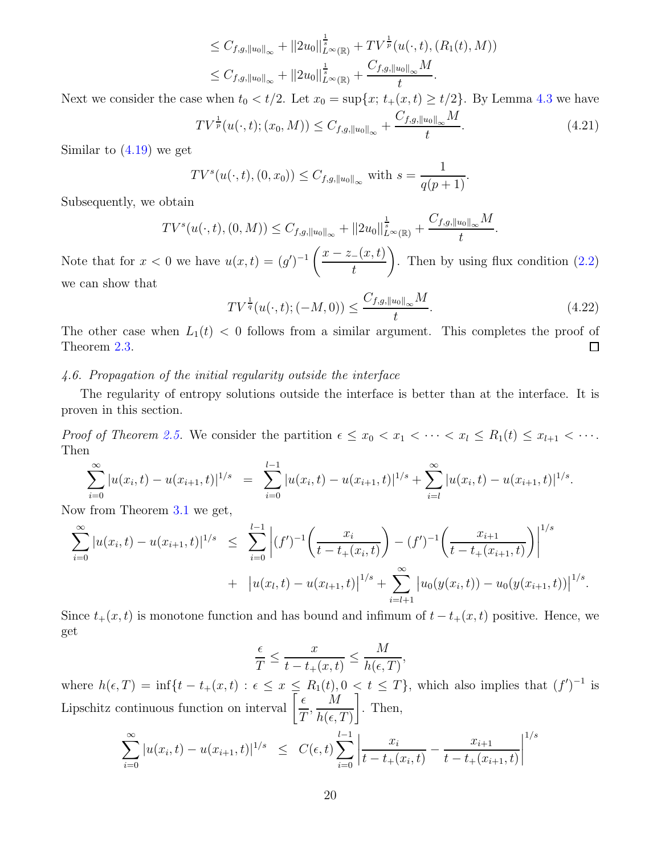$$
\leq C_{f,g,\|u_0\|_{\infty}} + \|2u_0\|_{L^{\infty}(\mathbb{R})}^{\frac{1}{s}} + TV^{\frac{1}{p}}(u(\cdot,t),(R_1(t),M))
$$
  

$$
\leq C_{f,g,\|u_0\|_{\infty}} + \|2u_0\|_{L^{\infty}(\mathbb{R})}^{\frac{1}{s}} + \frac{C_{f,g,\|u_0\|_{\infty}}M}{t}.
$$

Next we consider the case when  $t_0 < t/2$ . Let  $x_0 = \sup\{x; t_+(x,t) \ge t/2\}$ . By Lemma [4.3](#page-11-4) we have

$$
TV^{\frac{1}{p}}(u(\cdot,t);(x_0,M)) \leq C_{f,g,\|u_0\|_{\infty}} + \frac{C_{f,g,\|u_0\|_{\infty}}M}{t}.
$$
\n(4.21)

Similar to  $(4.19)$  we get

$$
TV^{s}(u(\cdot,t), (0, x_0)) \leq C_{f,g, \|u_0\|_{\infty}}
$$
 with  $s = \frac{1}{q(p+1)}$ .

Subsequently, we obtain

$$
TV^s(u(\cdot,t),(0,M)) \leq C_{f,g,\|u_0\|_{\infty}} + \|2u_0\|_{L^{\infty}(\mathbb{R})}^{\frac{1}{s}} + \frac{C_{f,g,\|u_0\|_{\infty}}M}{t}
$$

Note that for  $x < 0$  we have  $u(x,t) = (g')^{-1} \left( \frac{x - z_{-}(x,t)}{t} \right)$ t  $\setminus$ . Then by using flux condition  $(2.2)$ we can show that

$$
TV^{\frac{1}{q}}(u(\cdot,t);(-M,0)) \le \frac{C_{f,g,\|u_0\|_{\infty}}M}{t}.
$$
\n(4.22)

.

The other case when  $L_1(t) < 0$  follows from a similar argument. This completes the proof of Theorem [2.3.](#page-6-1)  $\Box$ 

### <span id="page-19-0"></span>4.6. Propagation of the initial regularity outside the interface

The regularity of entropy solutions outside the interface is better than at the interface. It is proven in this section.

*Proof of Theorem [2.5.](#page-7-0)* We consider the partition  $\epsilon \leq x_0 < x_1 < \cdots < x_l \leq R_1(t) \leq x_{l+1} < \cdots$ . Then

$$
\sum_{i=0}^{\infty} |u(x_i,t) - u(x_{i+1},t)|^{1/s} = \sum_{i=0}^{l-1} |u(x_i,t) - u(x_{i+1},t)|^{1/s} + \sum_{i=l}^{\infty} |u(x_i,t) - u(x_{i+1},t)|^{1/s}.
$$

Now from Theorem [3.1](#page-8-1) we get,

$$
\sum_{i=0}^{\infty} |u(x_i, t) - u(x_{i+1}, t)|^{1/s} \leq \sum_{i=0}^{l-1} |(f')^{-1}\left(\frac{x_i}{t - t_+(x_i, t)}\right) - (f')^{-1}\left(\frac{x_{i+1}}{t - t_+(x_{i+1}, t)}\right)|^{1/s} + |u(x_l, t) - u(x_{l+1}, t)|^{1/s} + \sum_{i=l+1}^{\infty} |u_0(y(x_i, t)) - u_0(y(x_{i+1}, t))|^{1/s}.
$$

Since  $t_{+}(x, t)$  is monotone function and has bound and infimum of  $t - t_{+}(x, t)$  positive. Hence, we get

$$
\frac{\epsilon}{T} \le \frac{x}{t - t_+(x, t)} \le \frac{M}{h(\epsilon, T)}
$$

,

where  $h(\epsilon,T) = \inf\{t - t_+(x,t) : \epsilon \leq x \leq R_1(t), 0 < t \leq T\}$ , which also implies that  $(f')^{-1}$  is Lipschitz continuous function on interval  $\left[\frac{\epsilon}{\sigma}\right]$ T , M  $h(\epsilon,T)$ 1 . Then,

$$
\sum_{i=0}^{\infty} |u(x_i, t) - u(x_{i+1}, t)|^{1/s} \leq C(\epsilon, t) \sum_{i=0}^{l-1} \left| \frac{x_i}{t - t_+(x_i, t)} - \frac{x_{i+1}}{t - t_+(x_{i+1}, t)} \right|^{1/s}
$$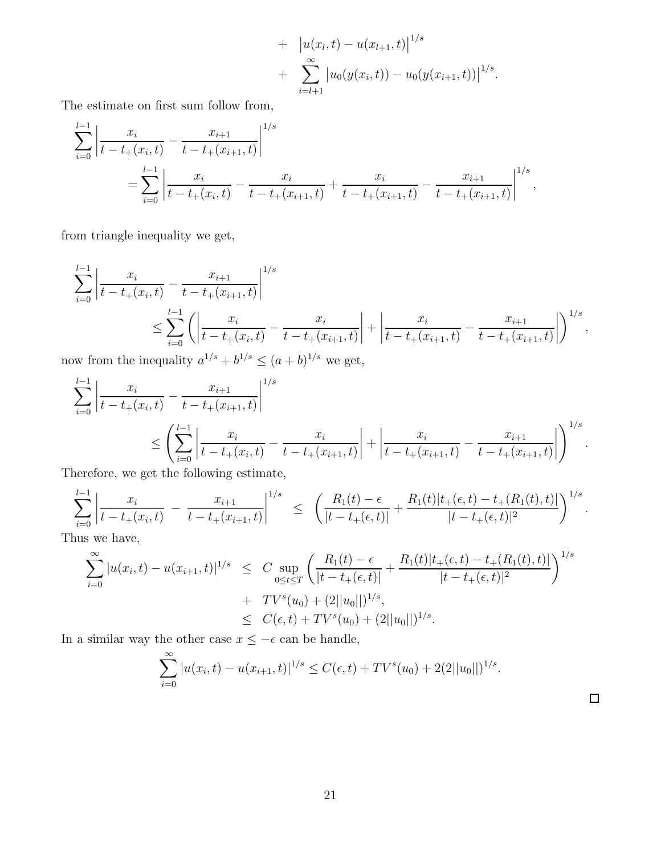+ 
$$
|u(x_l, t) - u(x_{l+1}, t)|^{1/s}
$$
  
+ 
$$
\sum_{i=l+1}^{\infty} |u_0(y(x_i, t)) - u_0(y(x_{i+1}, t))|^{1/s}.
$$

The estimate on first sum follow from,

$$
\sum_{i=0}^{l-1} \left| \frac{x_i}{t - t_+(x_i, t)} - \frac{x_{i+1}}{t - t_+(x_{i+1}, t)} \right|^{1/s}
$$
\n
$$
= \sum_{i=0}^{l-1} \left| \frac{x_i}{t - t_+(x_i, t)} - \frac{x_i}{t - t_+(x_{i+1}, t)} + \frac{x_i}{t - t_+(x_{i+1}, t)} - \frac{x_{i+1}}{t - t_+(x_{i+1}, t)} \right|^{1/s},
$$

from triangle inequality we get,

$$
\sum_{i=0}^{l-1} \left| \frac{x_i}{t - t_+(x_i, t)} - \frac{x_{i+1}}{t - t_+(x_{i+1}, t)} \right|^{1/s}
$$
\n
$$
\leq \sum_{i=0}^{l-1} \left( \left| \frac{x_i}{t - t_+(x_i, t)} - \frac{x_i}{t - t_+(x_{i+1}, t)} \right| + \left| \frac{x_i}{t - t_+(x_{i+1}, t)} - \frac{x_{i+1}}{t - t_+(x_{i+1}, t)} \right| \right)^{1/s},
$$

now from the inequality  $a^{1/s} + b^{1/s} \leq (a+b)^{1/s}$  we get,

$$
\sum_{i=0}^{l-1} \left| \frac{x_i}{t - t_+(x_i, t)} - \frac{x_{i+1}}{t - t_+(x_{i+1}, t)} \right|^{1/s}
$$
\n
$$
\leq \left( \sum_{i=0}^{l-1} \left| \frac{x_i}{t - t_+(x_i, t)} - \frac{x_i}{t - t_+(x_{i+1}, t)} \right| + \left| \frac{x_i}{t - t_+(x_{i+1}, t)} - \frac{x_{i+1}}{t - t_+(x_{i+1}, t)} \right| \right)^{1/s}.
$$
\n
$$
\sum_{i=0}^{l-1} \sum_{i=0}^{l} \left| \frac{x_i}{t - t_+(x_i, t)} - \frac{x_i}{t - t_+(x_{i+1}, t)} \right| + \left| \frac{x_i}{t - t_+(x_{i+1}, t)} - \frac{x_{i+1}}{t - t_+(x_{i+1}, t)} \right| \right)^{1/s}.
$$

Therefore, we get the following estimate,

$$
\sum_{i=0}^{l-1} \left| \frac{x_i}{t - t_+(x_i, t)} - \frac{x_{i+1}}{t - t_+(x_{i+1}, t)} \right|^{1/s} \leq \left( \frac{R_1(t) - \epsilon}{|t - t_+(\epsilon, t)|} + \frac{R_1(t)|t_+(\epsilon, t) - t_+(R_1(t), t)|}{|t - t_+(\epsilon, t)|^2} \right)^{1/s}.
$$

Thus we have,

$$
\sum_{i=0}^{\infty} |u(x_i, t) - u(x_{i+1}, t)|^{1/s} \leq C \sup_{0 \leq t \leq T} \left( \frac{R_1(t) - \epsilon}{|t - t_+(\epsilon, t)|} + \frac{R_1(t)|t_+(\epsilon, t) - t_+(R_1(t), t)|}{|t - t_+(\epsilon, t)|^2} \right)^{1/s} \n+ TV^s(u_0) + (2||u_0||)^{1/s}, \n\leq C(\epsilon, t) + TV^s(u_0) + (2||u_0||)^{1/s}.
$$

In a similar way the other case  $x \le -\epsilon$  can be handle,

$$
\sum_{i=0}^{\infty} |u(x_i, t) - u(x_{i+1}, t)|^{1/s} \le C(\epsilon, t) + TV^s(u_0) + 2(2||u_0||)^{1/s}.
$$

 $\Box$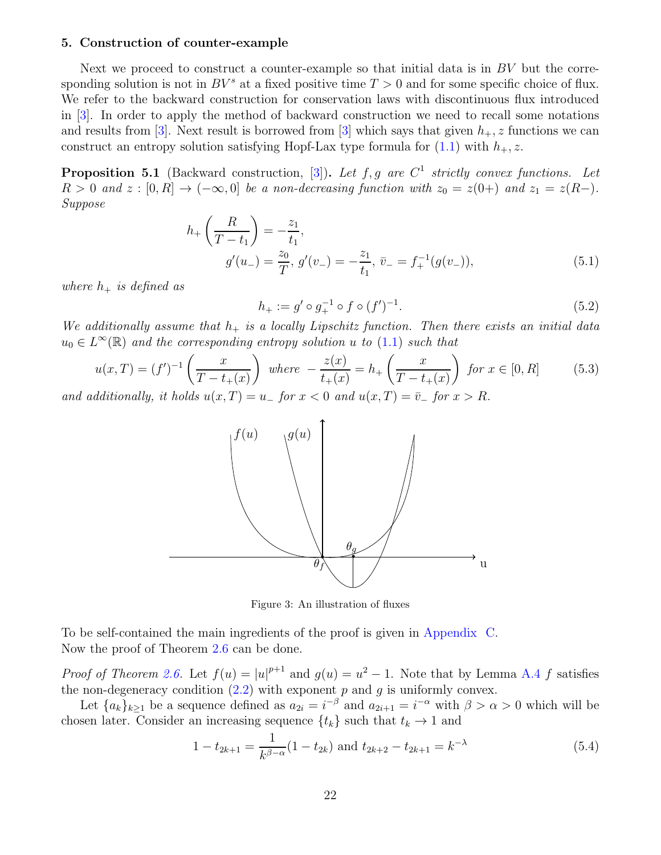### <span id="page-21-0"></span>5. Construction of counter-example

Next we proceed to construct a counter-example so that initial data is in  $BV$  but the corresponding solution is not in  $BV^s$  at a fixed positive time  $T > 0$  and for some specific choice of flux. We refer to the backward construction for conservation laws with discontinuous flux introduced in [\[3](#page-28-9)]. In order to apply the method of backward construction we need to recall some notations and results from [\[3](#page-28-9)]. Next result is borrowed from [\[3\]](#page-28-9) which says that given  $h_{+}$ , z functions we can construct an entropy solution satisfying Hopf-Lax type formula for  $(1.1)$  with  $h_{+}, z$ .

<span id="page-21-1"></span>**Proposition 5.1** (Backward construction, [\[3](#page-28-9)]). Let f, g are  $C^1$  strictly convex functions. Let  $R > 0$  and  $z : [0, R] \rightarrow (-\infty, 0]$  be a non-decreasing function with  $z_0 = z(0+)$  and  $z_1 = z(R-)$ . Suppose

$$
h_{+}\left(\frac{R}{T-t_{1}}\right) = -\frac{z_{1}}{t_{1}},
$$
  
\n
$$
g'(u_{-}) = \frac{z_{0}}{T}, g'(v_{-}) = -\frac{z_{1}}{t_{1}}, \bar{v}_{-} = f_{+}^{-1}(g(v_{-})),
$$
\n(5.1)

where  $h_+$  is defined as

$$
h_{+} := g' \circ g_{+}^{-1} \circ f \circ (f')^{-1}.
$$
\n(5.2)

We additionally assume that  $h_+$  is a locally Lipschitz function. Then there exists an initial data  $u_0 \in L^{\infty}(\mathbb{R})$  and the corresponding entropy solution u to  $(1.1)$  such that

<span id="page-21-2"></span>
$$
u(x,T) = (f')^{-1} \left(\frac{x}{T-t_+(x)}\right) \text{ where } -\frac{z(x)}{t_+(x)} = h_+ \left(\frac{x}{T-t_+(x)}\right) \text{ for } x \in [0,R] \tag{5.3}
$$

and additionally, it holds  $u(x,T) = u_+$  for  $x < 0$  and  $u(x,T) = v_-$  for  $x > \kappa$ .



Figure 3: An illustration of fluxes

To be self-contained the main ingredients of the proof is given in [Appendix C.](#page-26-1) Now the proof of Theorem [2.6](#page-7-1) can be done.

*Proof of Theorem [2.6.](#page-7-1)* Let  $f(u) = |u|^{p+1}$  and  $g(u) = u^2 - 1$ . Note that by Lemma [A.4](#page-25-0) f satisfies the non-degeneracy condition  $(2.2)$  with exponent p and g is uniformly convex.

Let  ${a_k}_{k\geq1}$  be a sequence defined as  $a_{2i} = i^{-\beta}$  and  $a_{2i+1} = i^{-\alpha}$  with  $\beta > \alpha > 0$  which will be chosen later. Consider an increasing sequence  $\{t_k\}$  such that  $t_k \to 1$  and

$$
1 - t_{2k+1} = \frac{1}{k^{\beta - \alpha}} (1 - t_{2k}) \text{ and } t_{2k+2} - t_{2k+1} = k^{-\lambda}
$$
 (5.4)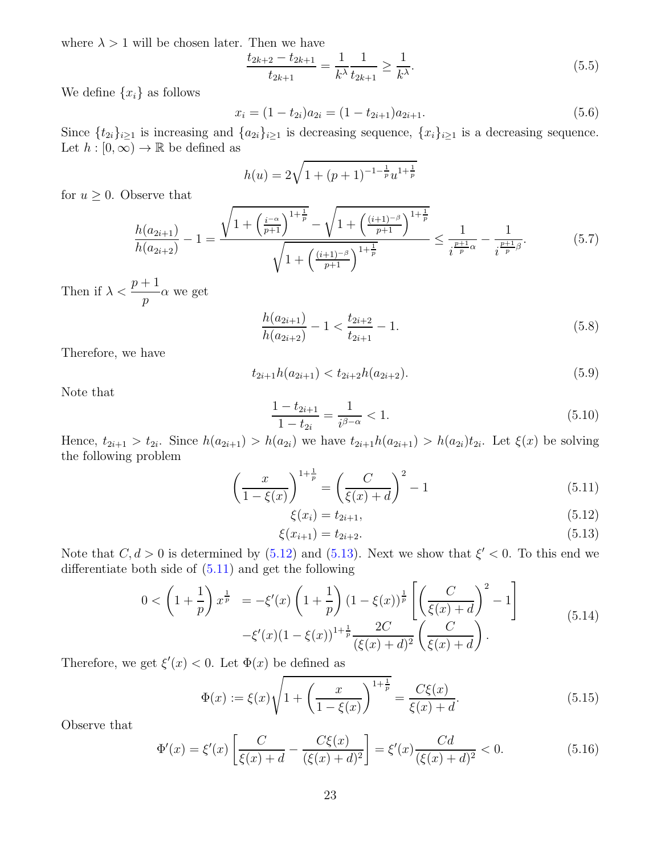where  $\lambda > 1$  will be chosen later. Then we have

$$
\frac{t_{2k+2} - t_{2k+1}}{t_{2k+1}} = \frac{1}{k^{\lambda}} \frac{1}{t_{2k+1}} \ge \frac{1}{k^{\lambda}}.
$$
\n(5.5)

We define  $\{x_i\}$  as follows

<span id="page-22-5"></span>
$$
x_i = (1 - t_{2i})a_{2i} = (1 - t_{2i+1})a_{2i+1}.
$$
\n(5.6)

Since  $\{t_{2i}\}_{i\geq 1}$  is increasing and  $\{a_{2i}\}_{i\geq 1}$  is decreasing sequence,  $\{x_i\}_{i\geq 1}$  is a decreasing sequence. Let  $h : [0, \infty) \to \mathbb{R}$  be defined as

$$
h(u) = 2\sqrt{1 + (p+1)^{-1-\frac{1}{p}}u^{1+\frac{1}{p}}}
$$

for  $u \geq 0$ . Observe that

$$
\frac{h(a_{2i+1})}{h(a_{2i+2})} - 1 = \frac{\sqrt{1 + \left(\frac{i^{-\alpha}}{p+1}\right)^{1+\frac{1}{p}} - \sqrt{1 + \left(\frac{(i+1)^{-\beta}}{p+1}\right)^{1+\frac{1}{p}}}}}{\sqrt{1 + \left(\frac{(i+1)^{-\beta}}{p+1}\right)^{1+\frac{1}{p}}}} \le \frac{1}{i^{\frac{p+1}{p}\alpha}} - \frac{1}{i^{\frac{p+1}{p}\beta}}.\tag{5.7}
$$

Then if  $\lambda < \frac{p+1}{p}$ p  $\alpha$  we get

$$
\frac{h(a_{2i+1})}{h(a_{2i+2})} - 1 < \frac{t_{2i+2}}{t_{2i+1}} - 1. \tag{5.8}
$$

Therefore, we have

<span id="page-22-3"></span>
$$
t_{2i+1}h(a_{2i+1}) < t_{2i+2}h(a_{2i+2}).\tag{5.9}
$$

Note that

$$
\frac{1 - t_{2i+1}}{1 - t_{2i}} = \frac{1}{i^{\beta - \alpha}} < 1. \tag{5.10}
$$

Hence,  $t_{2i+1} > t_{2i}$ . Since  $h(a_{2i+1}) > h(a_{2i})$  we have  $t_{2i+1}h(a_{2i+1}) > h(a_{2i})t_{2i}$ . Let  $\xi(x)$  be solving the following problem

$$
\left(\frac{x}{1-\xi(x)}\right)^{1+\frac{1}{p}} = \left(\frac{C}{\xi(x)+d}\right)^2 - 1\tag{5.11}
$$

<span id="page-22-2"></span><span id="page-22-1"></span><span id="page-22-0"></span>
$$
\xi(x_i) = t_{2i+1},\tag{5.12}
$$

$$
\xi(x_{i+1}) = t_{2i+2}.\tag{5.13}
$$

Note that  $C, d > 0$  is determined by  $(5.12)$  and  $(5.13)$ . Next we show that  $\xi' < 0$ . To this end we differentiate both side of  $(5.11)$  and get the following

$$
0 < \left(1 + \frac{1}{p}\right) x^{\frac{1}{p}} = -\xi'(x) \left(1 + \frac{1}{p}\right) \left(1 - \xi(x)\right)^{\frac{1}{p}} \left[\left(\frac{C}{\xi(x) + d}\right)^2 - 1\right] \\
- \xi'(x) \left(1 - \xi(x)\right)^{1 + \frac{1}{p}} \frac{2C}{(\xi(x) + d)^2} \left(\frac{C}{\xi(x) + d}\right).
$$
\n(5.14)

Therefore, we get  $\xi'(x) < 0$ . Let  $\Phi(x)$  be defined as

$$
\Phi(x) := \xi(x)\sqrt{1 + \left(\frac{x}{1 - \xi(x)}\right)^{1 + \frac{1}{p}}} = \frac{C\xi(x)}{\xi(x) + d}.
$$
\n(5.15)

Observe that

<span id="page-22-4"></span>
$$
\Phi'(x) = \xi'(x) \left[ \frac{C}{\xi(x) + d} - \frac{C\xi(x)}{(\xi(x) + d)^2} \right] = \xi'(x) \frac{Cd}{(\xi(x) + d)^2} < 0.
$$
\n(5.16)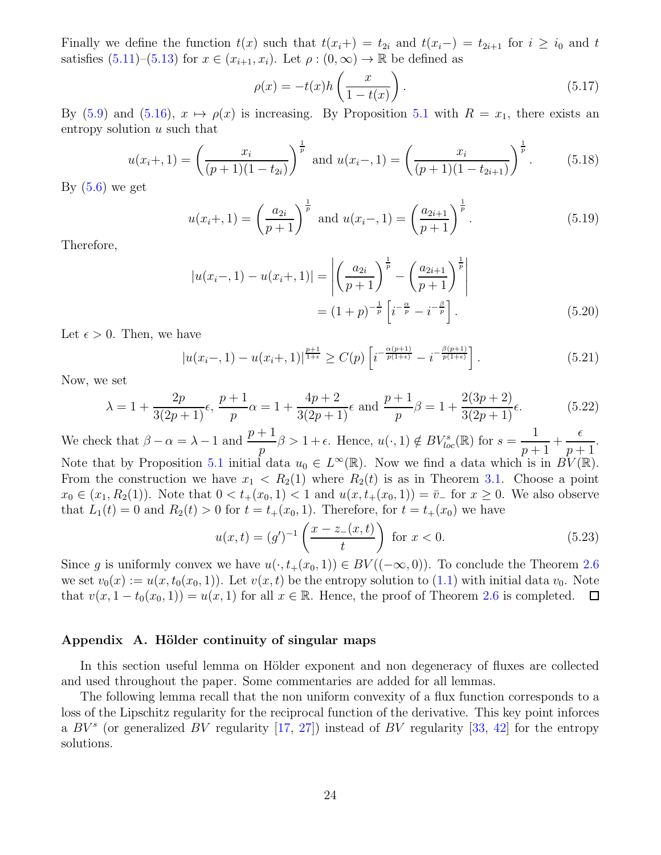Finally we define the function  $t(x)$  such that  $t(x_i+) = t_{2i}$  and  $t(x_i-) = t_{2i+1}$  for  $i \geq i_0$  and t satisfies  $(5.11)$ – $(5.13)$  for  $x \in (x_{i+1}, x_i)$ . Let  $\rho : (0, \infty) \to \mathbb{R}$  be defined as

$$
\rho(x) = -t(x)h\left(\frac{x}{1-t(x)}\right). \tag{5.17}
$$

By [\(5.9\)](#page-22-3) and [\(5.16\)](#page-22-4),  $x \mapsto \rho(x)$  is increasing. By Proposition [5.1](#page-21-1) with  $R = x_1$ , there exists an entropy solution  $u$  such that

$$
u(x_i+,1) = \left(\frac{x_i}{(p+1)(1-t_{2i})}\right)^{\frac{1}{p}} \text{ and } u(x_i-,1) = \left(\frac{x_i}{(p+1)(1-t_{2i+1})}\right)^{\frac{1}{p}}.
$$
 (5.18)

By  $(5.6)$  we get

$$
u(x_i+,1) = \left(\frac{a_{2i}}{p+1}\right)^{\frac{1}{p}} \text{ and } u(x_i-,1) = \left(\frac{a_{2i+1}}{p+1}\right)^{\frac{1}{p}}.
$$
 (5.19)

Therefore,

$$
|u(x_i-,1) - u(x_i+,1)| = \left| \left(\frac{a_{2i}}{p+1}\right)^{\frac{1}{p}} - \left(\frac{a_{2i+1}}{p+1}\right)^{\frac{1}{p}} \right|
$$
  
=  $(1+p)^{-\frac{1}{p}} \left[i^{-\frac{\alpha}{p}} - i^{-\frac{\beta}{p}}\right].$  (5.20)

Let  $\epsilon > 0$ . Then, we have

$$
|u(x_i-,1) - u(x_i+,1)|^{\frac{p+1}{1+\epsilon}} \ge C(p) \left[ i^{-\frac{\alpha(p+1)}{p(1+\epsilon)}} - i^{-\frac{\beta(p+1)}{p(1+\epsilon)}} \right]. \tag{5.21}
$$

Now, we set

$$
\lambda = 1 + \frac{2p}{3(2p+1)}\epsilon, \frac{p+1}{p}\alpha = 1 + \frac{4p+2}{3(2p+1)}\epsilon \text{ and } \frac{p+1}{p}\beta = 1 + \frac{2(3p+2)}{3(2p+1)}\epsilon.
$$
 (5.22)

We check that  $\beta - \alpha = \lambda - 1$  and  $\frac{p+1}{p+1}$ p  $\beta > 1 + \epsilon$ . Hence,  $u(\cdot, 1) \notin BV_{loc}^{s}(\mathbb{R})$  for  $s = \frac{1}{n+1}$  $p+1$  $+$  $\epsilon$  $p+1$ . Note that by Proposition [5.1](#page-21-1) initial data  $u_0 \in L^{\infty}(\mathbb{R})$ . Now we find a data which is in  $BV(\mathbb{R})$ . From the construction we have  $x_1 < R_2(1)$  where  $R_2(t)$  is as in Theorem [3.1.](#page-8-1) Choose a point  $x_0 \in (x_1, R_2(1))$ . Note that  $0 < t_+(x_0, 1) < 1$  and  $u(x, t_+(x_0, 1)) = \bar{v}_-$  for  $x \ge 0$ . We also observe that  $L_1(t) = 0$  and  $R_2(t) > 0$  for  $t = t_+(x_0, 1)$ . Therefore, for  $t = t_+(x_0)$  we have

$$
u(x,t) = (g')^{-1} \left(\frac{x - z_-(x,t)}{t}\right) \text{ for } x < 0.
$$
 (5.23)

Since q is uniformly convex we have  $u(\cdot, t_+(x_0, 1)) \in BV((-\infty, 0))$ . To conclude the Theorem [2.6](#page-7-1) we set  $v_0(x) := u(x, t_0(x_0, 1))$ . Let  $v(x, t)$  be the entropy solution to  $(1.1)$  with initial data  $v_0$ . Note that  $v(x, 1-t_0(x_0, 1)) = u(x, 1)$  for all  $x \in \mathbb{R}$ . Hence, the proof of Theorem [2.6](#page-7-1) is completed.  $\Box$ 

### <span id="page-23-0"></span>Appendix A. Hölder continuity of singular maps

In this section useful lemma on Hölder exponent and non degeneracy of fluxes are collected and used throughout the paper. Some commentaries are added for all lemmas.

<span id="page-23-1"></span>The following lemma recall that the non uniform convexity of a flux function corresponds to a loss of the Lipschitz regularity for the reciprocal function of the derivative. This key point inforces a  $BV^s$  (or generalized  $BV$  regularity  $[17, 27]$  $[17, 27]$ ) instead of  $BV$  regularity  $[33, 42]$  $[33, 42]$  for the entropy solutions.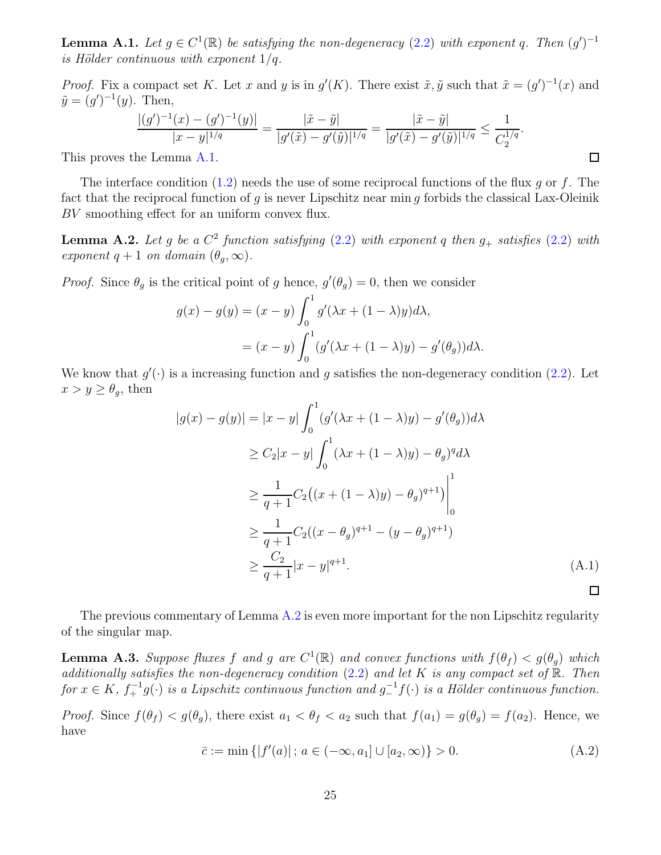**Lemma A.1.** Let  $g \in C^1(\mathbb{R})$  be satisfying the non-degeneracy [\(2.2\)](#page-5-3) with exponent q. Then  $(g')^{-1}$ is Hölder continuous with exponent  $1/q$ .

*Proof.* Fix a compact set K. Let x and y is in  $g'(K)$ . There exist  $\tilde{x}, \tilde{y}$  such that  $\tilde{x} = (g')^{-1}(x)$  and  $\tilde{y} = (g')^{-1}(y)$ . Then,

$$
\frac{|(g')^{-1}(x)-(g')^{-1}(y)|}{|x-y|^{1/q}}=\frac{|\tilde{x}-\tilde{y}|}{|g'(\tilde{x})-g'(\tilde{y})|^{1/q}}=\frac{|\tilde{x}-\tilde{y}|}{|g'(\tilde{x})-g'(\tilde{y})|^{1/q}}\leq \frac{1}{C_2^{1/q}}.
$$

<span id="page-24-2"></span> $\Box$ 

This proves the Lemma [A.1.](#page-23-1)

The interface condition  $(1.2)$  needs the use of some reciprocal functions of the flux g or f. The fact that the reciprocal function of q is never Lipschitz near min q forbids the classical Lax-Oleinik BV smoothing effect for an uniform convex flux.

<span id="page-24-1"></span>**Lemma A.2.** Let g be a  $C^2$  function satisfying  $(2.2)$  with exponent q then  $g_+$  satisfies  $(2.2)$  with exponent  $q + 1$  on domain  $(\theta_q, \infty)$ .

*Proof.* Since  $\theta_g$  is the critical point of g hence,  $g'(\theta_g) = 0$ , then we consider

$$
g(x) - g(y) = (x - y) \int_0^1 g'(\lambda x + (1 - \lambda)y) d\lambda,
$$
  
=  $(x - y) \int_0^1 (g'(\lambda x + (1 - \lambda)y) - g'(\theta_g)) d\lambda.$ 

We know that  $g'(\cdot)$  is a increasing function and g satisfies the non-degeneracy condition [\(2.2\)](#page-5-3). Let  $x > y \geq \theta_g$ , then

$$
|g(x) - g(y)| = |x - y| \int_0^1 (g'(\lambda x + (1 - \lambda)y) - g'(\theta_g))d\lambda
$$
  
\n
$$
\ge C_2|x - y| \int_0^1 (\lambda x + (1 - \lambda)y) - \theta_g)^q d\lambda
$$
  
\n
$$
\ge \frac{1}{q+1} C_2((x + (1 - \lambda)y) - \theta_g)^{q+1}) \Big|_0^1
$$
  
\n
$$
\ge \frac{1}{q+1} C_2((x - \theta_g)^{q+1} - (y - \theta_g)^{q+1})
$$
  
\n
$$
\ge \frac{C_2}{q+1}|x - y|^{q+1}.
$$
 (A.1)

<span id="page-24-0"></span>The previous commentary of Lemma [A.2](#page-24-1) is even more important for the non Lipschitz regularity of the singular map.

**Lemma A.3.** Suppose fluxes f and g are  $C^1(\mathbb{R})$  and convex functions with  $f(\theta_f) < g(\theta_g)$  which additionally satisfies the non-degeneracy condition  $(2.2)$  and let K is any compact set of R. Then for  $x \in K$ ,  $f_{+}^{-1}g(\cdot)$  is a Lipschitz continuous function and  $g_{-}^{-1}f(\cdot)$  is a Hölder continuous function.

*Proof.* Since  $f(\theta_f) < g(\theta_g)$ , there exist  $a_1 < \theta_f < a_2$  such that  $f(a_1) = g(\theta_g) = f(a_2)$ . Hence, we have

$$
\bar{c} := \min\{|f'(a)| \, ; \, a \in (-\infty, a_1] \cup [a_2, \infty)\} > 0. \tag{A.2}
$$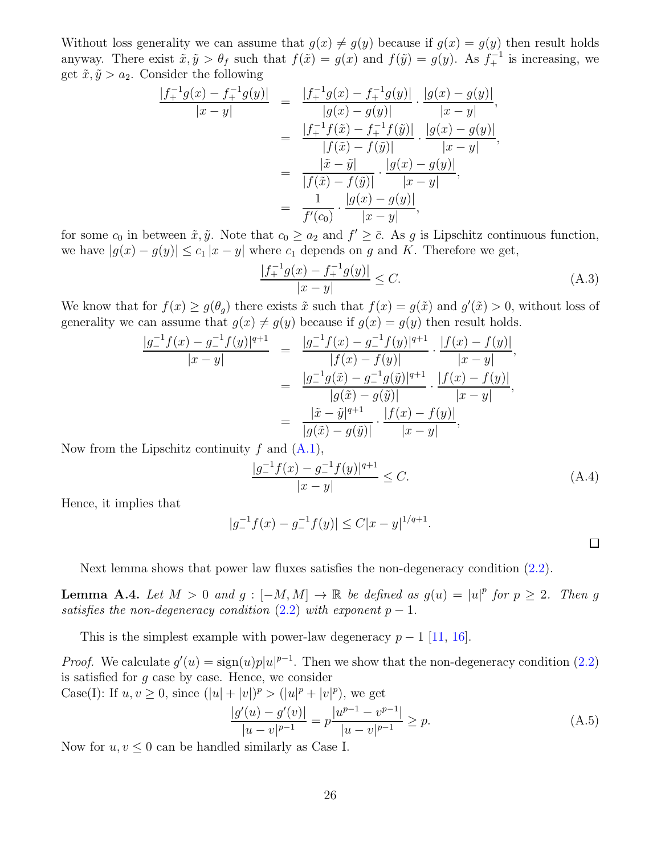Without loss generality we can assume that  $g(x) \neq g(y)$  because if  $g(x) = g(y)$  then result holds anyway. There exist  $\tilde{x}, \tilde{y} > \theta_f$  such that  $f(\tilde{x}) = g(x)$  and  $f(\tilde{y}) = g(y)$ . As  $f_+^{-1}$  is increasing, we get  $\tilde{x}, \tilde{y} > a_2$ . Consider the following

$$
\frac{|f_+^{-1}g(x) - f_+^{-1}g(y)|}{|x - y|} = \frac{|f_+^{-1}g(x) - f_+^{-1}g(y)|}{|g(x) - g(y)|} \cdot \frac{|g(x) - g(y)|}{|x - y|},
$$

$$
= \frac{|f_+^{-1}f(\tilde{x}) - f_+^{-1}f(\tilde{y})|}{|f(\tilde{x}) - f(\tilde{y})|} \cdot \frac{|g(x) - g(y)|}{|x - y|},
$$

$$
= \frac{|\tilde{x} - \tilde{y}|}{|f(\tilde{x}) - f(\tilde{y})|} \cdot \frac{|g(x) - g(y)|}{|x - y|},
$$

$$
= \frac{1}{f'(c_0)} \cdot \frac{|g(x) - g(y)|}{|x - y|},
$$

for some  $c_0$  in between  $\tilde{x}, \tilde{y}$ . Note that  $c_0 \ge a_2$  and  $f' \ge \bar{c}$ . As g is Lipschitz continuous function, we have  $|g(x) - g(y)| \leq c_1 |x - y|$  where  $c_1$  depends on g and K. Therefore we get,

$$
\frac{|f_+^{-1}g(x) - f_+^{-1}g(y)|}{|x - y|} \le C.
$$
\n(A.3)

We know that for  $f(x) \ge g(\theta_g)$  there exists  $\tilde{x}$  such that  $f(x) = g(\tilde{x})$  and  $g'(\tilde{x}) > 0$ , without loss of generality we can assume that  $g(x) \neq g(y)$  because if  $g(x) = g(y)$  then result holds.

$$
\frac{|g_{-}^{-1}f(x) - g_{-}^{-1}f(y)|^{q+1}}{|x - y|} = \frac{|g_{-}^{-1}f(x) - g_{-}^{-1}f(y)|^{q+1}}{|f(x) - f(y)|} \cdot \frac{|f(x) - f(y)|}{|x - y|},
$$

$$
= \frac{|g_{-}^{-1}g(\tilde{x}) - g_{-}^{-1}g(\tilde{y})|^{q+1}}{|g(\tilde{x}) - g(\tilde{y})|} \cdot \frac{|f(x) - f(y)|}{|x - y|},
$$

$$
= \frac{|\tilde{x} - \tilde{y}|^{q+1}}{|g(\tilde{x}) - g(\tilde{y})|} \cdot \frac{|f(x) - f(y)|}{|x - y|},
$$

Now from the Lipschitz continuity  $f$  and  $(A.1)$ ,

$$
\frac{|g_{-}^{-1}f(x) - g_{-}^{-1}f(y)|^{q+1}}{|x - y|} \le C.
$$
\n(A.4)

 $\Box$ 

Hence, it implies that

$$
|g_{-}^{-1}f(x) - g_{-}^{-1}f(y)| \le C|x - y|^{1/q + 1}.
$$

<span id="page-25-0"></span>Next lemma shows that power law fluxes satisfies the non-degeneracy condition [\(2.2\)](#page-5-3).

**Lemma A.4.** Let  $M > 0$  and  $g : [-M, M] \to \mathbb{R}$  be defined as  $g(u) = |u|^p$  for  $p \ge 2$ . Then g satisfies the non-degeneracy condition  $(2.2)$  with exponent  $p-1$ .

This is the simplest example with power-law degeneracy  $p-1$  [\[11,](#page-28-8) [16\]](#page-29-12).

*Proof.* We calculate  $g'(u) = sign(u)p|u|^{p-1}$ . Then we show that the non-degeneracy condition [\(2.2\)](#page-5-3) is satisfied for  $q$  case by case. Hence, we consider

Case(I): If  $u, v \ge 0$ , since  $(|u| + |v|)^p > (|u|^p + |v|^p)$ , we get

$$
\frac{|g'(u) - g'(v)|}{|u - v|^{p-1}} = p \frac{|u^{p-1} - v^{p-1}|}{|u - v|^{p-1}} \ge p.
$$
\n(A.5)

Now for  $u, v \leq 0$  can be handled similarly as Case I.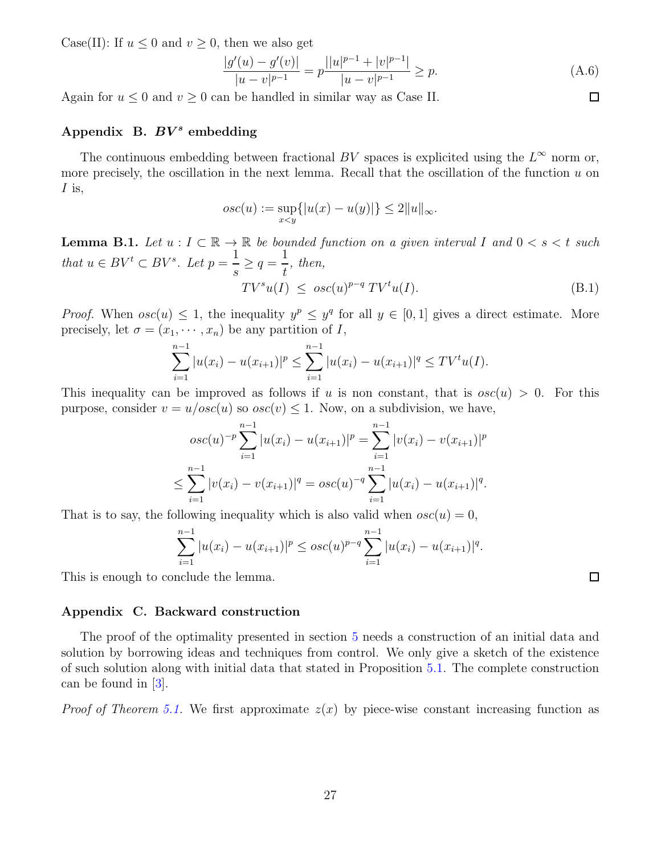Case(II): If  $u \leq 0$  and  $v \geq 0$ , then we also get

$$
\frac{|g'(u) - g'(v)|}{|u - v|^{p-1}} = p \frac{||u|^{p-1} + |v|^{p-1}|}{|u - v|^{p-1}} \ge p.
$$
\n(A.6)

Again for  $u \leq 0$  and  $v \geq 0$  can be handled in similar way as Case II.

# <span id="page-26-0"></span>Appendix B.  $BV^s$  embedding

The continuous embedding between fractional BV spaces is explicited using the  $L^{\infty}$  norm or, more precisely, the oscillation in the next lemma. Recall that the oscillation of the function  $u$  on  $I$  is,

$$
osc(u) := \sup_{x < y} \{|u(x) - u(y)|\} \le 2||u||_{\infty}.
$$

<span id="page-26-2"></span>**Lemma B.1.** Let  $u: I \subset \mathbb{R} \to \mathbb{R}$  be bounded function on a given interval I and  $0 < s < t$  such that  $u \in BV^t \subset BV^s$ . Let  $p =$ 1 s  $\geq q =$ 1 t , then,  $TV^s u(I) \leq osc(u)^{p-q} TV^t u(I).$  (B.1)

*Proof.* When  $osc(u) \leq 1$ , the inequality  $y^p \leq y^q$  for all  $y \in [0,1]$  gives a direct estimate. More precisely, let  $\sigma = (x_1, \dots, x_n)$  be any partition of I,

$$
\sum_{i=1}^{n-1} |u(x_i) - u(x_{i+1})|^p \le \sum_{i=1}^{n-1} |u(x_i) - u(x_{i+1})|^q \le TV^t u(I).
$$

This inequality can be improved as follows if u is non constant, that is  $osc(u) > 0$ . For this purpose, consider  $v = u/osc(u)$  so  $osc(v) \le 1$ . Now, on a subdivision, we have,

$$
osc(u)^{-p} \sum_{i=1}^{n-1} |u(x_i) - u(x_{i+1})|^p = \sum_{i=1}^{n-1} |v(x_i) - v(x_{i+1})|^p
$$
  

$$
\leq \sum_{i=1}^{n-1} |v(x_i) - v(x_{i+1})|^q = osc(u)^{-q} \sum_{i=1}^{n-1} |u(x_i) - u(x_{i+1})|^q.
$$

That is to say, the following inequality which is also valid when  $osc(u) = 0$ ,

$$
\sum_{i=1}^{n-1} |u(x_i) - u(x_{i+1})|^p \le osc(u)^{p-q} \sum_{i=1}^{n-1} |u(x_i) - u(x_{i+1})|^q.
$$

This is enough to conclude the lemma.

### <span id="page-26-1"></span>Appendix C. Backward construction

The proof of the optimality presented in section [5](#page-21-0) needs a construction of an initial data and solution by borrowing ideas and techniques from control. We only give a sketch of the existence of such solution along with initial data that stated in Proposition [5.1.](#page-21-1) The complete construction can be found in [\[3\]](#page-28-9).

*Proof of Theorem [5.1.](#page-21-1)* We first approximate  $z(x)$  by piece-wise constant increasing function as

 $\Box$ 

 $\Box$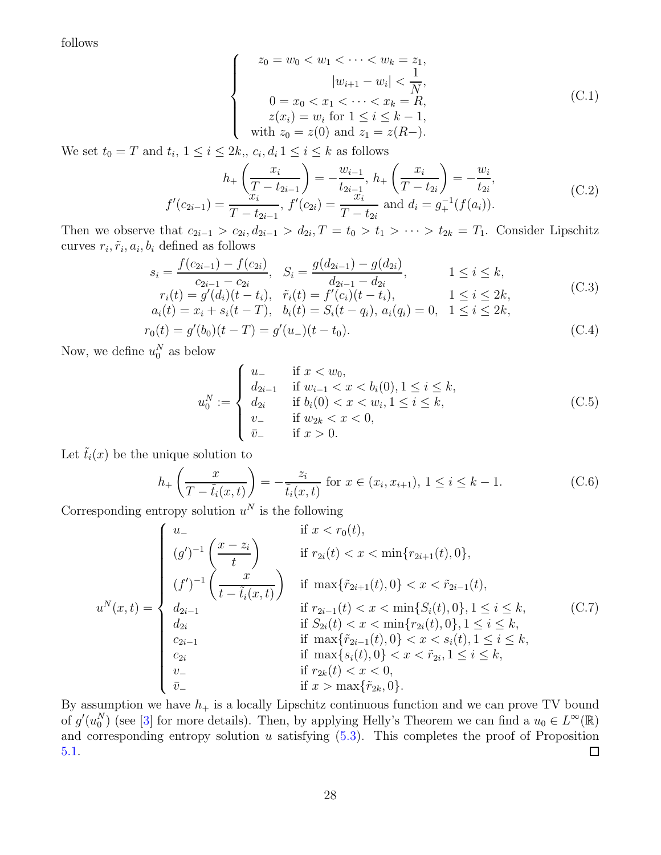follows

$$
\begin{cases}\n z_0 = w_0 < w_1 < \dots < w_k = z_1, \\
 |w_{i+1} - w_i| < \frac{1}{N}, \\
 0 = x_0 < x_1 < \dots < x_k = R, \\
 z(x_i) = w_i \text{ for } 1 \leq i \leq k - 1, \\
 \text{with } z_0 = z(0) \text{ and } z_1 = z(R-).\n\end{cases} \tag{C.1}
$$

We set  $t_0 = T$  and  $t_i$ ,  $1 \leq i \leq 2k$ ,,  $c_i$ ,  $d_i$ ,  $1 \leq i \leq k$  as follows

$$
h_{+}\left(\frac{x_{i}}{T-t_{2i-1}}\right) = -\frac{w_{i-1}}{t_{2i-1}}, h_{+}\left(\frac{x_{i}}{T-t_{2i}}\right) = -\frac{w_{i}}{t_{2i}},
$$
  

$$
f'(c_{2i-1}) = \frac{x_{i}}{T-t_{2i-1}}, f'(c_{2i}) = \frac{x_{i}}{T-t_{2i}} \text{ and } d_{i} = g_{+}^{-1}(f(a_{i})).
$$
 (C.2)

Then we observe that  $c_{2i-1} > c_{2i}$ ,  $d_{2i-1} > d_{2i}$ ,  $T = t_0 > t_1 > \cdots > t_{2k} = T_1$ . Consider Lipschitz curves  $r_i, \tilde{r}_i, a_i, b_i$  defined as follows

$$
s_i = \frac{f(c_{2i-1}) - f(c_{2i})}{c_{2i-1} - c_{2i}}, \quad S_i = \frac{g(d_{2i-1}) - g(d_{2i})}{d_{2i-1} - d_{2i}}, \quad 1 \le i \le k,
$$
  
\n
$$
r_i(t) = g'(d_i)(t - t_i), \quad \tilde{r}_i(t) = f'(c_i)(t - t_i), \quad 1 \le i \le 2k,
$$
  
\n
$$
a_i(t) = x_i + s_i(t - T), \quad b_i(t) = S_i(t - q_i), \quad a_i(q_i) = 0, \quad 1 \le i \le 2k,
$$
\n(C.3)

$$
r_0(t) = g'(b_0)(t - T) = g'(u_-)(t - t_0).
$$
\n(C.4)

Now, we define  $u_0^N$  as below

$$
u_0^N := \begin{cases} u_- & \text{if } x < w_0, \\ d_{2i-1} & \text{if } w_{i-1} < x < b_i(0), 1 \le i \le k, \\ d_{2i} & \text{if } b_i(0) < x < w_i, 1 \le i \le k, \\ v_- & \text{if } w_{2k} < x < 0, \\ \bar{v}_- & \text{if } x > 0. \end{cases} \tag{C.5}
$$

Let  $\tilde{t}_i(x)$  be the unique solution to

$$
h_{+}\left(\frac{x}{T-\tilde{t}_{i}(x,t)}\right) = -\frac{z_{i}}{\tilde{t}_{i}(x,t)} \text{ for } x \in (x_{i}, x_{i+1}), 1 \le i \le k-1.
$$
 (C.6)

Corresponding entropy solution  $u^N$  is the following

$$
u^{N}(x,t) = \begin{cases} u_{-} & \text{if } x < r_{0}(t), \\ (g')^{-1} \left(\frac{x-z_{i}}{t}\right) & \text{if } r_{2i}(t) < x < \min\{r_{2i+1}(t), 0\}, \\ (f')^{-1} \left(\frac{x}{t-\tilde{t}_{i}(x,t)}\right) & \text{if } \max\{\tilde{r}_{2i+1}(t), 0\} < x < \tilde{r}_{2i-1}(t), \\ d_{2i-1} & \text{if } r_{2i-1}(t) < x < \min\{S_{i}(t), 0\}, 1 \leq i \leq k, \\ d_{2i} & \text{if } S_{2i}(t) < x < \min\{r_{2i}(t), 0\}, 1 \leq i \leq k, \\ c_{2i-1} & \text{if } \max\{\tilde{r}_{2i-1}(t), 0\} < x < s_{i}(t), 1 \leq i \leq k, \\ c_{2i} & \text{if } \max\{s_{i}(t), 0\} < x < \tilde{r}_{2i}, 1 \leq i \leq k, \\ v_{-} & \text{if } r_{2k}(t) < x < 0, \\ \tilde{v}_{-} & \text{if } x > \max\{\tilde{r}_{2k}, 0\}. \end{cases} \tag{C.7}
$$

By assumption we have  $h_+$  is a locally Lipschitz continuous function and we can prove TV bound of  $g'(u_0^N)$  (see [\[3\]](#page-28-9) for more details). Then, by applying Helly's Theorem we can find a  $u_0 \in L^{\infty}(\mathbb{R})$ and corresponding entropy solution  $u$  satisfying  $(5.3)$ . This completes the proof of Proposition [5.1.](#page-21-1)  $\Box$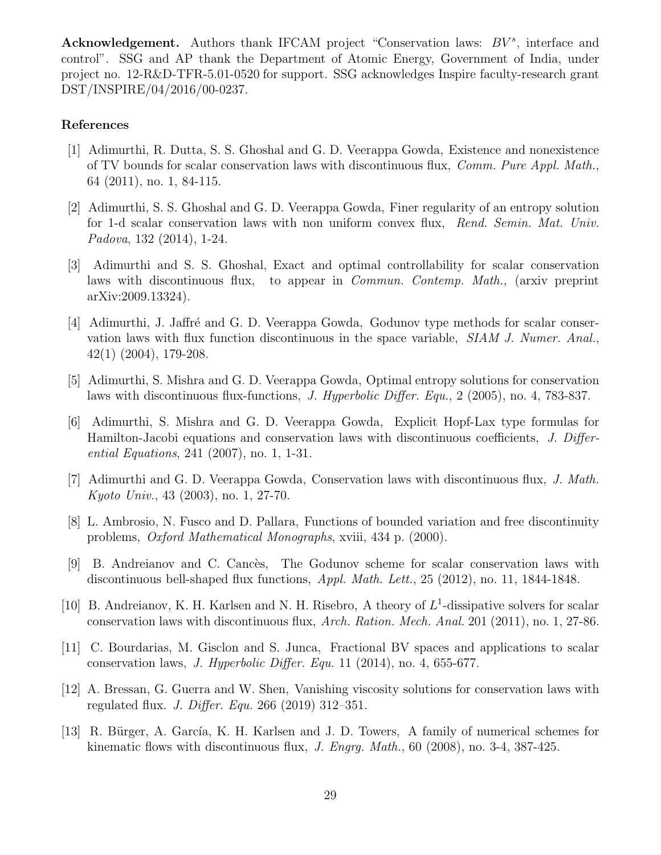Acknowledgement. Authors thank IFCAM project "Conservation laws:  $BV^s$ , interface and control". SSG and AP thank the Department of Atomic Energy, Government of India, under project no. 12-R&D-TFR-5.01-0520 for support. SSG acknowledges Inspire faculty-research grant DST/INSPIRE/04/2016/00-0237.

## References

- <span id="page-28-3"></span>[1] Adimurthi, R. Dutta, S. S. Ghoshal and G. D. Veerappa Gowda, Existence and nonexistence of TV bounds for scalar conservation laws with discontinuous flux, Comm. Pure Appl. Math., 64 (2011), no. 1, 84-115.
- <span id="page-28-10"></span>[2] Adimurthi, S. S. Ghoshal and G. D. Veerappa Gowda, Finer regularity of an entropy solution for 1-d scalar conservation laws with non uniform convex flux, Rend. Semin. Mat. Univ. Padova, 132 (2014), 1-24.
- <span id="page-28-9"></span>[3] Adimurthi and S. S. Ghoshal, Exact and optimal controllability for scalar conservation laws with discontinuous flux, to appear in Commun. Contemp. Math., (arxiv preprint arXiv:2009.13324).
- <span id="page-28-6"></span>[4] Adimurthi, J. Jaffré and G. D. Veerappa Gowda, Godunov type methods for scalar conservation laws with flux function discontinuous in the space variable, SIAM J. Numer. Anal., 42(1) (2004), 179-208.
- <span id="page-28-1"></span>[5] Adimurthi, S. Mishra and G. D. Veerappa Gowda, Optimal entropy solutions for conservation laws with discontinuous flux-functions, J. Hyperbolic Differ. Equ., 2 (2005), no. 4, 783-837.
- <span id="page-28-2"></span>[6] Adimurthi, S. Mishra and G. D. Veerappa Gowda, Explicit Hopf-Lax type formulas for Hamilton-Jacobi equations and conservation laws with discontinuous coefficients, J. Differential Equations, 241 (2007), no. 1, 1-31.
- <span id="page-28-0"></span>[7] Adimurthi and G. D. Veerappa Gowda, Conservation laws with discontinuous flux, J. Math. Kyoto Univ., 43 (2003), no. 1, 27-70.
- <span id="page-28-11"></span>[8] L. Ambrosio, N. Fusco and D. Pallara, Functions of bounded variation and free discontinuity problems, Oxford Mathematical Monographs, xviii, 434 p. (2000).
- <span id="page-28-7"></span>[9] B. Andreianov and C. Cancès, The Godunov scheme for scalar conservation laws with discontinuous bell-shaped flux functions, Appl. Math. Lett., 25 (2012), no. 11, 1844-1848.
- <span id="page-28-4"></span>[10] B. Andreianov, K. H. Karlsen and N. H. Risebro, A theory of  $L^1$ -dissipative solvers for scalar conservation laws with discontinuous flux, Arch. Ration. Mech. Anal. 201 (2011), no. 1, 27-86.
- <span id="page-28-8"></span>[11] C. Bourdarias, M. Gisclon and S. Junca, Fractional BV spaces and applications to scalar conservation laws, J. Hyperbolic Differ. Equ. 11 (2014), no. 4, 655-677.
- <span id="page-28-5"></span>[12] A. Bressan, G. Guerra and W. Shen, Vanishing viscosity solutions for conservation laws with regulated flux. *J. Differ. Equ.* 266 (2019) 312-351.
- <span id="page-28-12"></span>[13] R. Bürger, A. García, K. H. Karlsen and J. D. Towers, A family of numerical schemes for kinematic flows with discontinuous flux, *J. Engrg. Math.*, 60 (2008), no. 3-4, 387-425.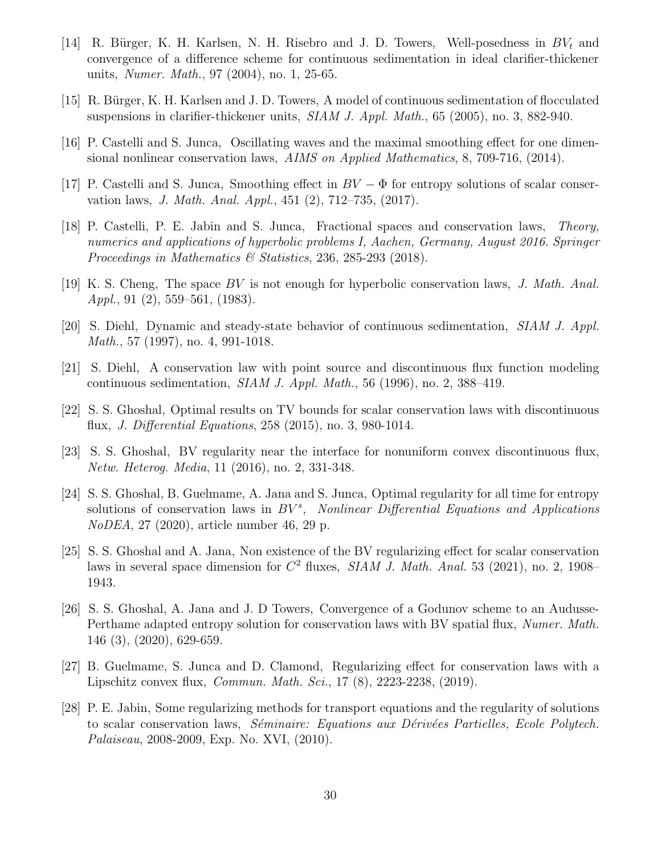- <span id="page-29-0"></span>[14] R. Bürger, K. H. Karlsen, N. H. Risebro and J. D. Towers, Well-posedness in  $BV_t$  and convergence of a difference scheme for continuous sedimentation in ideal clarifier-thickener units, Numer. Math., 97 (2004), no. 1, 25-65.
- <span id="page-29-1"></span>[15] R. Bürger, K. H. Karlsen and J. D. Towers, A model of continuous sedimentation of flocculated suspensions in clarifier-thickener units,  $SIAM J. Appl. Math., 65 (2005), no. 3, 882-940.$
- <span id="page-29-12"></span>[16] P. Castelli and S. Junca, Oscillating waves and the maximal smoothing effect for one dimensional nonlinear conservation laws, AIMS on Applied Mathematics, 8, 709-716, (2014).
- <span id="page-29-6"></span>[17] P. Castelli and S. Junca, Smoothing effect in  $BV - \Phi$  for entropy solutions of scalar conservation laws, J. Math. Anal. Appl., 451 (2), 712–735, (2017).
- <span id="page-29-7"></span>[18] P. Castelli, P. E. Jabin and S. Junca, Fractional spaces and conservation laws, Theory, numerics and applications of hyperbolic problems I, Aachen, Germany, August 2016. Springer Proceedings in Mathematics  $\mathcal C$  Statistics, 236, 285-293 (2018).
- <span id="page-29-11"></span>[19] K. S. Cheng, The space BV is not enough for hyperbolic conservation laws, J. Math. Anal. Appl., 91 (2), 559–561, (1983).
- <span id="page-29-2"></span>[20] S. Diehl, Dynamic and steady-state behavior of continuous sedimentation, SIAM J. Appl. Math., 57 (1997), no. 4, 991-1018.
- <span id="page-29-3"></span>[21] S. Diehl, A conservation law with point source and discontinuous flux function modeling continuous sedimentation, *SIAM J. Appl. Math.*, 56 (1996), no. 2, 388–419.
- <span id="page-29-5"></span>[22] S. S. Ghoshal, Optimal results on TV bounds for scalar conservation laws with discontinuous flux, J. Differential Equations, 258 (2015), no. 3, 980-1014.
- <span id="page-29-14"></span>[23] S. S. Ghoshal, BV regularity near the interface for nonuniform convex discontinuous flux, Netw. Heterog. Media, 11 (2016), no. 2, 331-348.
- <span id="page-29-8"></span>[24] S. S. Ghoshal, B. Guelmame, A. Jana and S. Junca, Optimal regularity for all time for entropy solutions of conservation laws in  $BV^s$ , Nonlinear Differential Equations and Applications NoDEA, 27 (2020), article number 46, 29 p.
- <span id="page-29-9"></span>[25] S. S. Ghoshal and A. Jana, Non existence of the BV regularizing effect for scalar conservation laws in several space dimension for  $C^2$  fluxes, *SIAM J. Math. Anal.* 53 (2021), no. 2, 1908– 1943.
- <span id="page-29-4"></span>[26] S. S. Ghoshal, A. Jana and J. D Towers, Convergence of a Godunov scheme to an Audusse-Perthame adapted entropy solution for conservation laws with BV spatial flux, Numer. Math. 146 (3), (2020), 629-659.
- <span id="page-29-10"></span>[27] B. Guelmame, S. Junca and D. Clamond, Regularizing effect for conservation laws with a Lipschitz convex flux, Commun. Math. Sci., 17 (8), 2223-2238, (2019).
- <span id="page-29-13"></span>[28] P. E. Jabin, Some regularizing methods for transport equations and the regularity of solutions to scalar conservation laws, Séminaire: Equations aux Dérivées Partielles, Ecole Polytech. Palaiseau, 2008-2009, Exp. No. XVI, (2010).